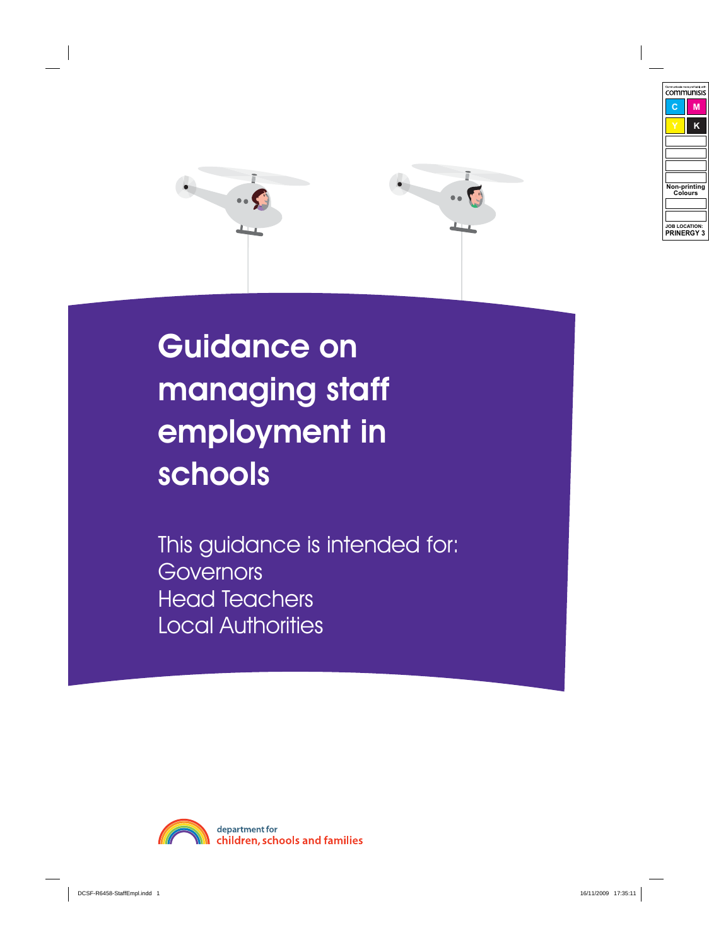

# Guidance on managing staff employment in schools

This guidance is intended for: **Governors** Head Teachers Local Authorities

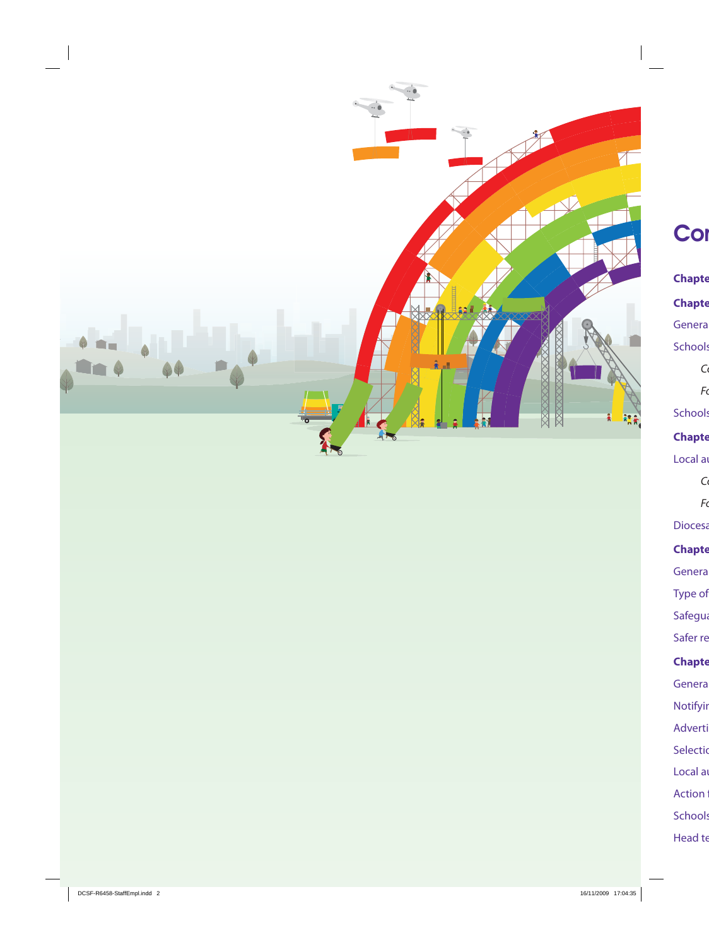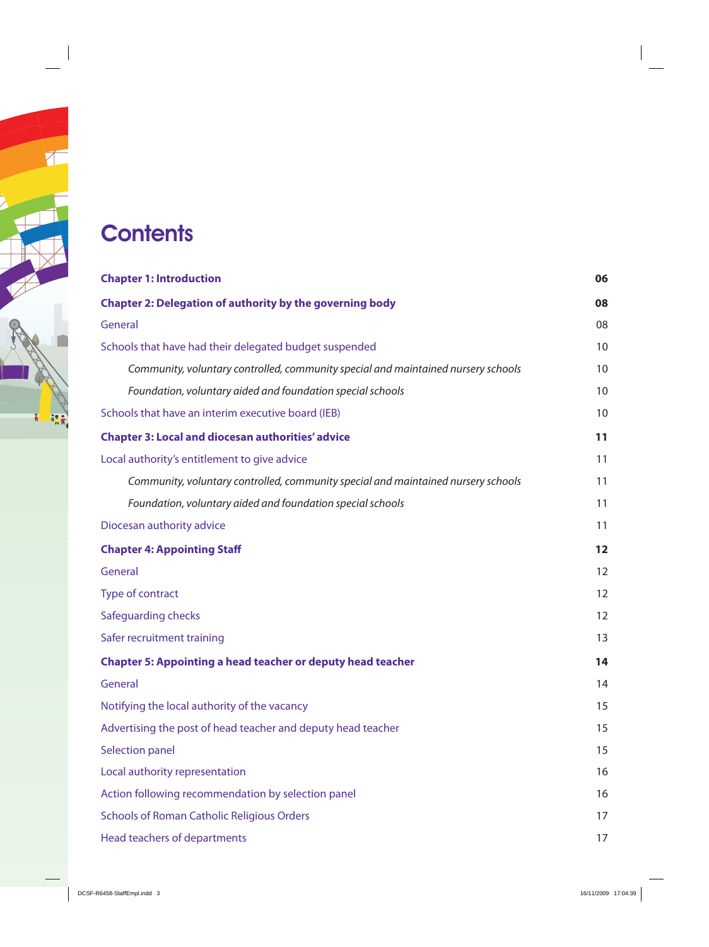## **Contents**

| <b>Chapter 1: Introduction</b>                                                    |    |
|-----------------------------------------------------------------------------------|----|
| <b>Chapter 2: Delegation of authority by the governing body</b>                   | 08 |
| General                                                                           | 08 |
| Schools that have had their delegated budget suspended                            | 10 |
| Community, voluntary controlled, community special and maintained nursery schools | 10 |
| Foundation, voluntary aided and foundation special schools                        | 10 |
| Schools that have an interim executive board (IEB)                                | 10 |
| <b>Chapter 3: Local and diocesan authorities' advice</b>                          | 11 |
| Local authority's entitlement to give advice                                      | 11 |
| Community, voluntary controlled, community special and maintained nursery schools | 11 |
| Foundation, voluntary aided and foundation special schools                        | 11 |
| Diocesan authority advice                                                         | 11 |
| <b>Chapter 4: Appointing Staff</b>                                                | 12 |
| General                                                                           | 12 |
| Type of contract                                                                  | 12 |
| Safeguarding checks                                                               | 12 |
| Safer recruitment training                                                        | 13 |
| <b>Chapter 5: Appointing a head teacher or deputy head teacher</b>                | 14 |
| General                                                                           | 14 |
| Notifying the local authority of the vacancy                                      | 15 |
| Advertising the post of head teacher and deputy head teacher                      | 15 |
| <b>Selection panel</b>                                                            | 15 |
| Local authority representation                                                    | 16 |
| Action following recommendation by selection panel                                | 16 |
| <b>Schools of Roman Catholic Religious Orders</b>                                 | 17 |
| Head teachers of departments                                                      | 17 |
|                                                                                   |    |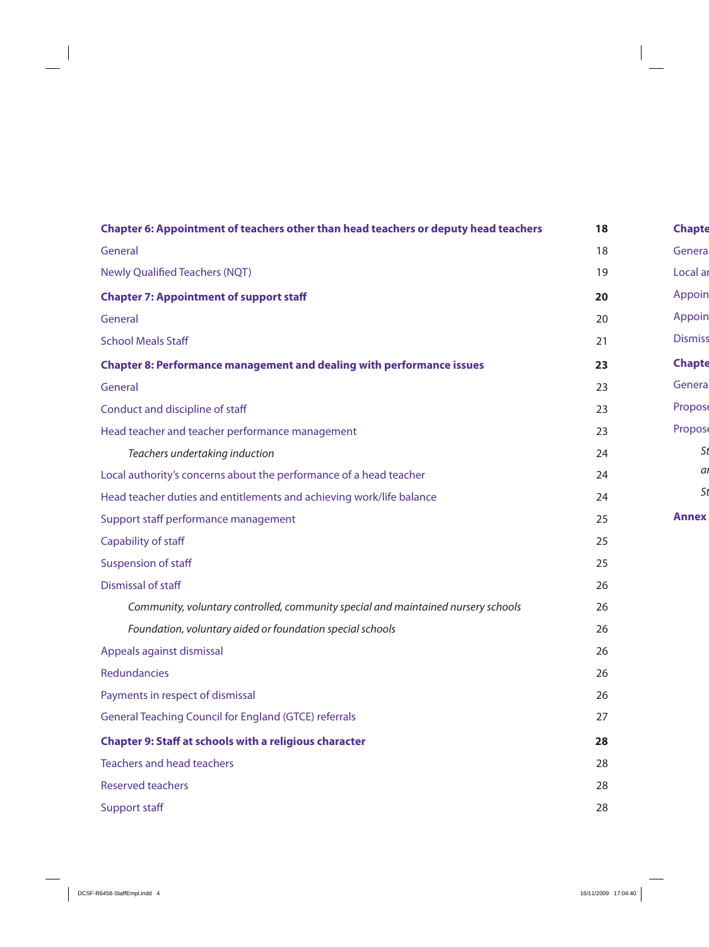| Chapter 6: Appointment of teachers other than head teachers or deputy head teachers |    |  |
|-------------------------------------------------------------------------------------|----|--|
| General                                                                             |    |  |
| <b>Newly Qualified Teachers (NQT)</b>                                               |    |  |
| <b>Chapter 7: Appointment of support staff</b>                                      | 20 |  |
| General                                                                             | 20 |  |
| <b>School Meals Staff</b>                                                           | 21 |  |
| <b>Chapter 8: Performance management and dealing with performance issues</b>        | 23 |  |
| General                                                                             | 23 |  |
| Conduct and discipline of staff                                                     | 23 |  |
| Head teacher and teacher performance management                                     | 23 |  |
| Teachers undertaking induction                                                      | 24 |  |
| Local authority's concerns about the performance of a head teacher                  | 24 |  |
| Head teacher duties and entitlements and achieving work/life balance                | 24 |  |
| Support staff performance management                                                | 25 |  |
| Capability of staff                                                                 | 25 |  |
| <b>Suspension of staff</b>                                                          | 25 |  |
| Dismissal of staff                                                                  | 26 |  |
| Community, voluntary controlled, community special and maintained nursery schools   | 26 |  |
| Foundation, voluntary aided or foundation special schools                           | 26 |  |
| Appeals against dismissal                                                           | 26 |  |
| <b>Redundancies</b>                                                                 | 26 |  |
| Payments in respect of dismissal                                                    | 26 |  |
| <b>General Teaching Council for England (GTCE) referrals</b>                        | 27 |  |
| <b>Chapter 9: Staff at schools with a religious character</b>                       | 28 |  |
| <b>Teachers and head teachers</b>                                                   | 28 |  |
| <b>Reserved teachers</b>                                                            | 28 |  |
| <b>Support staff</b>                                                                | 28 |  |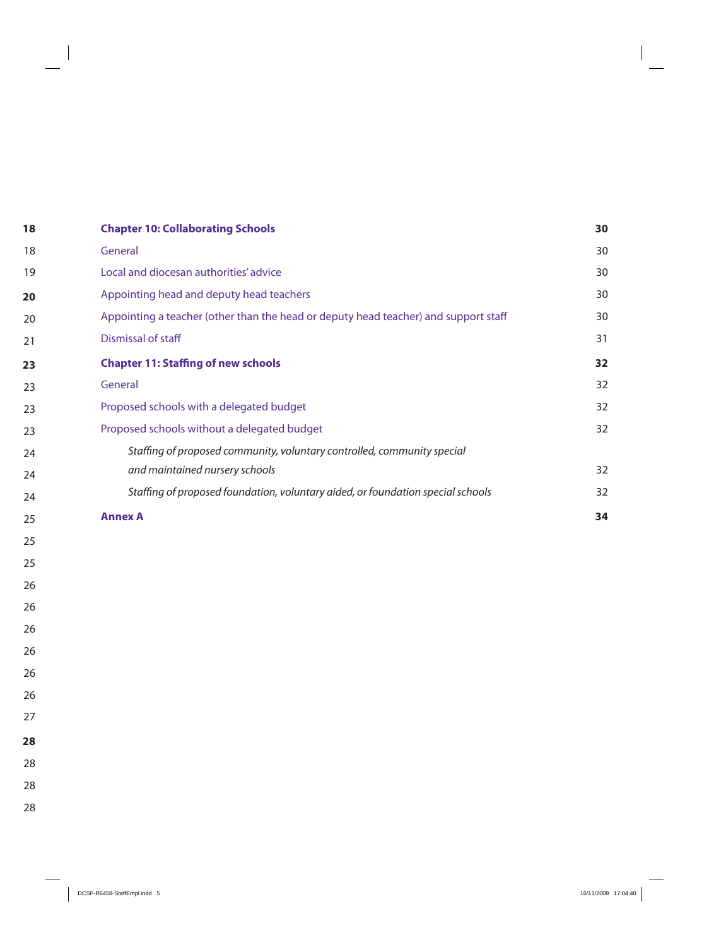| <b>Chapter 10: Collaborating Schools</b>                                            |    |
|-------------------------------------------------------------------------------------|----|
| General                                                                             | 30 |
| Local and diocesan authorities' advice                                              | 30 |
| Appointing head and deputy head teachers                                            | 30 |
| Appointing a teacher (other than the head or deputy head teacher) and support staff | 30 |
| Dismissal of staff                                                                  | 31 |
| <b>Chapter 11: Staffing of new schools</b>                                          | 32 |
| General                                                                             | 32 |
| Proposed schools with a delegated budget                                            | 32 |
| Proposed schools without a delegated budget                                         | 32 |
| Staffing of proposed community, voluntary controlled, community special             |    |
| and maintained nursery schools                                                      | 32 |
| Staffing of proposed foundation, voluntary aided, or foundation special schools     | 32 |
| <b>Annex A</b>                                                                      | 34 |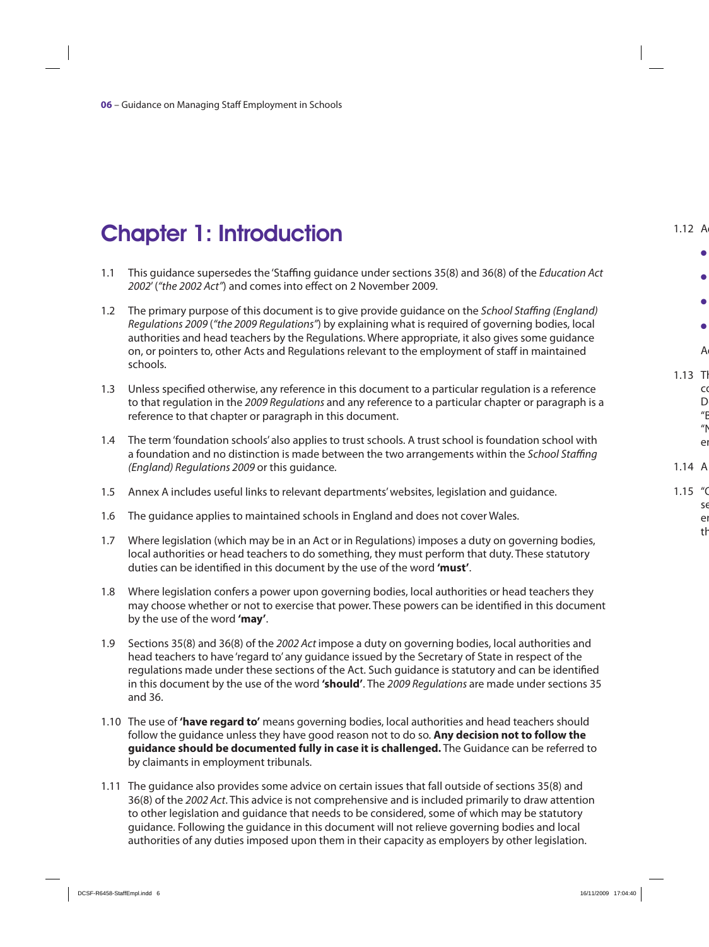# Chapter 1: Introduction

- 1.1 This guidance supersedes the 'Staffing guidance under sections 35(8) and 36(8) of the Education Act 2002' ("the 2002 Act") and comes into effect on 2 November 2009.
- 1.2 The primary purpose of this document is to give provide quidance on the School Staffing (England) Regulations 2009 ("the 2009 Regulations") by explaining what is required of governing bodies, local authorities and head teachers by the Regulations. Where appropriate, it also gives some guidance on, or pointers to, other Acts and Regulations relevant to the employment of staff in maintained schools.
- 1.3 Unless specified otherwise, any reference in this document to a particular regulation is a reference to that regulation in the 2009 Regulations and any reference to a particular chapter or paragraph is a reference to that chapter or paragraph in this document.
- 1.4 The term 'foundation schools' also applies to trust schools. A trust school is foundation school with a foundation and no distinction is made between the two arrangements within the School Staffing (England) Regulations 2009 or this guidance.
- 1.5 Annex A includes useful links to relevant departments' websites, legislation and guidance.
- 1.6 The guidance applies to maintained schools in England and does not cover Wales.
- 1.7 Where legislation (which may be in an Act or in Regulations) imposes a duty on governing bodies, local authorities or head teachers to do something, they must perform that duty. These statutory duties can be identified in this document by the use of the word **'must'**.
- 1.8 Where legislation confers a power upon governing bodies, local authorities or head teachers they may choose whether or not to exercise that power. These powers can be identified in this document by the use of the word **'may'**.
- 1.9 Sections 35(8) and 36(8) of the 2002 Act impose a duty on governing bodies, local authorities and head teachers to have 'regard to' any guidance issued by the Secretary of State in respect of the regulations made under these sections of the Act. Such guidance is statutory and can be identified in this document by the use of the word **'should'**. The 2009 Regulations are made under sections 35 and 36.
- 1.10 The use of **'have regard to'** means governing bodies, local authorities and head teachers should follow the guidance unless they have good reason not to do so. **Any decision not to follow the guidance should be documented fully in case it is challenged.** The Guidance can be referred to by claimants in employment tribunals.
- 1.11 The guidance also provides some advice on certain issues that fall outside of sections 35(8) and 36(8) of the 2002 Act. This advice is not comprehensive and is included primarily to draw attention to other legislation and guidance that needs to be considered, some of which may be statutory guidance. Following the guidance in this document will not relieve governing bodies and local authorities of any duties imposed upon them in their capacity as employers by other legislation.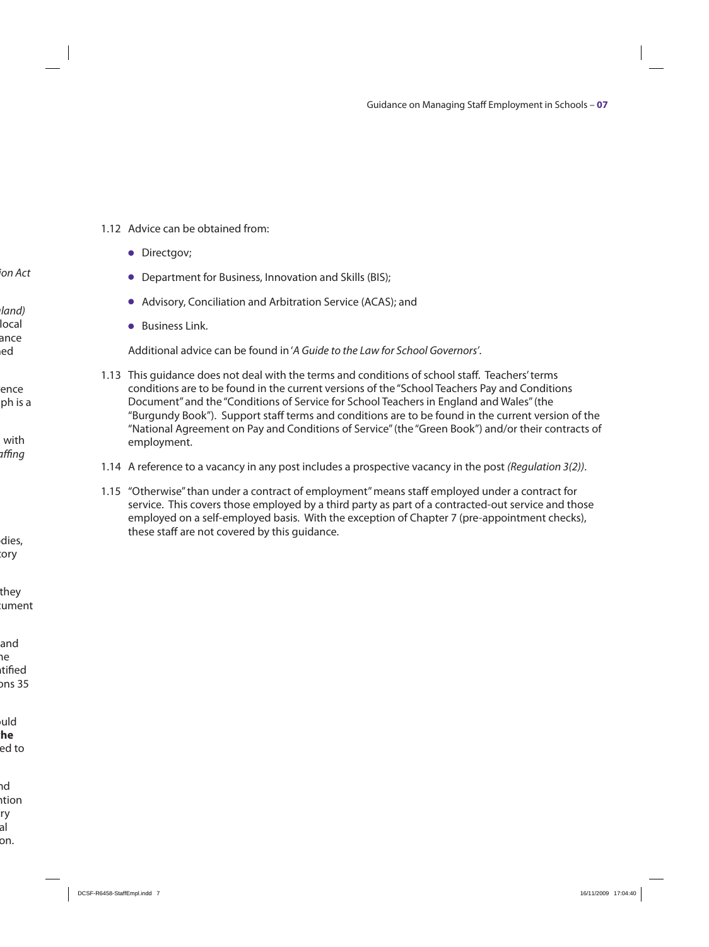#### 1.12 Advice can be obtained from:

- Directgov;
- Department for Business, Innovation and Skills (BIS);
- O Advisory, Conciliation and Arbitration Service (ACAS); and
- **•** Business Link.

Additional advice can be found in 'A Guide to the Law for School Governors'.

- 1.13 This guidance does not deal with the terms and conditions of school staff. Teachers' terms conditions are to be found in the current versions of the "School Teachers Pay and Conditions Document" and the "Conditions of Service for School Teachers in England and Wales" (the "Burgundy Book"). Support staff terms and conditions are to be found in the current version of the "National Agreement on Pay and Conditions of Service" (the "Green Book") and/or their contracts of employment.
- 1.14 A reference to a vacancy in any post includes a prospective vacancy in the post (Regulation 3(2)).
- 1.15 "Otherwise" than under a contract of employment" means staff employed under a contract for service. This covers those employed by a third party as part of a contracted-out service and those employed on a self-employed basis. With the exception of Chapter 7 (pre-appointment checks), these staff are not covered by this guidance.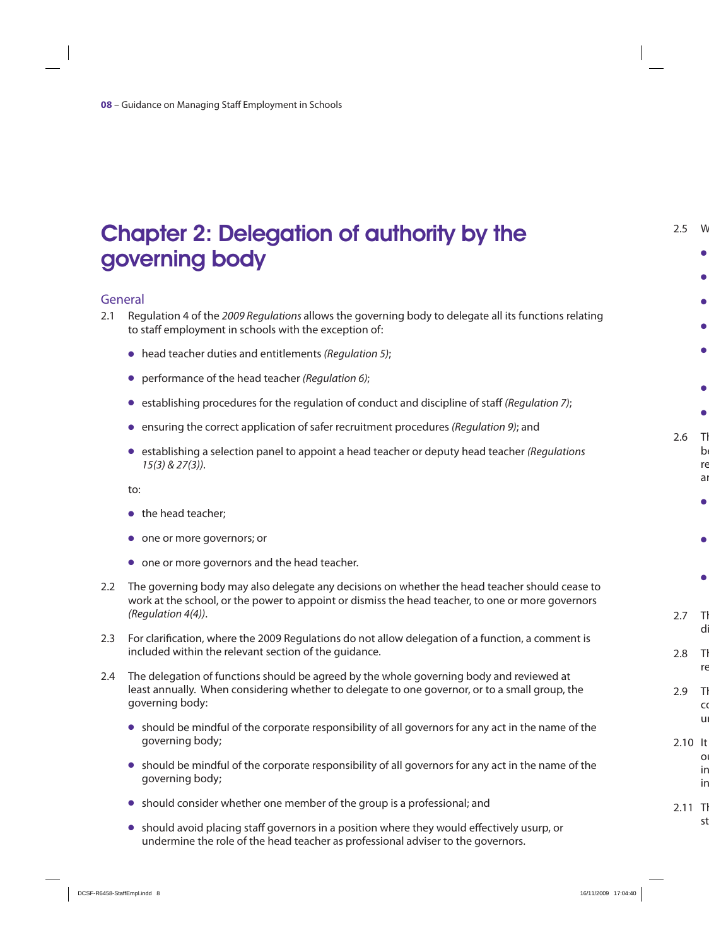## Chapter 2: Delegation of authority by the governing body

#### General

- 2.1 Requiation 4 of the 2009 Requiations allows the governing body to delegate all its functions relating to staff employment in schools with the exception of:
	- $\bullet$  head teacher duties and entitlements (Regulation 5);
	- performance of the head teacher (Regulation 6);
	- $\bullet$  establishing procedures for the regulation of conduct and discipline of staff (Regulation 7);
	- ensuring the correct application of safer recruitment procedures (Regulation 9); and
	- O establishing a selection panel to appoint a head teacher or deputy head teacher (Regulations 15(3) & 27(3)).

to:

- $\bullet$  the head teacher:
- $\bullet$  one or more governors; or
- one or more governors and the head teacher.
- 2.2 The governing body may also delegate any decisions on whether the head teacher should cease to work at the school, or the power to appoint or dismiss the head teacher, to one or more governors (Regulation 4(4)).
- 2.3 For clarification, where the 2009 Regulations do not allow delegation of a function, a comment is included within the relevant section of the guidance.
- 2.4 The delegation of functions should be agreed by the whole governing body and reviewed at least annually. When considering whether to delegate to one governor, or to a small group, the governing body:
	- $\bullet$  should be mindful of the corporate responsibility of all governors for any act in the name of the governing body;
	- O should be mindful of the corporate responsibility of all governors for any act in the name of the governing body;
	- $\bullet$  should consider whether one member of the group is a professional; and
	- O should avoid placing staff governors in a position where they would effectively usurp, or undermine the role of the head teacher as professional adviser to the governors.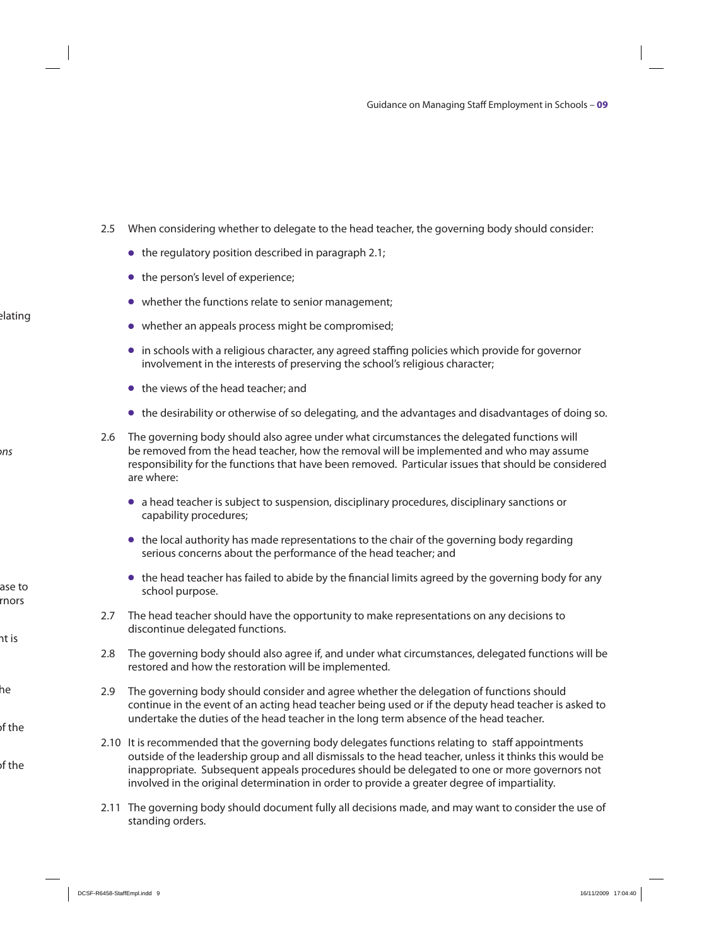- 2.5 When considering whether to delegate to the head teacher, the governing body should consider:
	- $\bullet$  the regulatory position described in paragraph 2.1;
	- $\bullet$  the person's level of experience;
	- whether the functions relate to senior management;
	- $\bullet$  whether an appeals process might be compromised;
	- O in schools with a religious character, any agreed staffing policies which provide for governor involvement in the interests of preserving the school's religious character;
	- $\bullet$  the views of the head teacher; and
	- O the desirability or otherwise of so delegating, and the advantages and disadvantages of doing so.
- 2.6 The governing body should also agree under what circumstances the delegated functions will be removed from the head teacher, how the removal will be implemented and who may assume responsibility for the functions that have been removed. Particular issues that should be considered are where:
	- O a head teacher is subject to suspension, disciplinary procedures, disciplinary sanctions or capability procedures;
	- $\bullet$  the local authority has made representations to the chair of the governing body regarding serious concerns about the performance of the head teacher; and
	- O the head teacher has failed to abide by the financial limits agreed by the governing body for any school purpose.
- 2.7 The head teacher should have the opportunity to make representations on any decisions to discontinue delegated functions.
- 2.8 The governing body should also agree if, and under what circumstances, delegated functions will be restored and how the restoration will be implemented.
- 2.9 The governing body should consider and agree whether the delegation of functions should continue in the event of an acting head teacher being used or if the deputy head teacher is asked to undertake the duties of the head teacher in the long term absence of the head teacher.
- 2.10 It is recommended that the governing body delegates functions relating to staff appointments outside of the leadership group and all dismissals to the head teacher, unless it thinks this would be inappropriate. Subsequent appeals procedures should be delegated to one or more governors not involved in the original determination in order to provide a greater degree of impartiality.
- 2.11 The governing body should document fully all decisions made, and may want to consider the use of standing orders.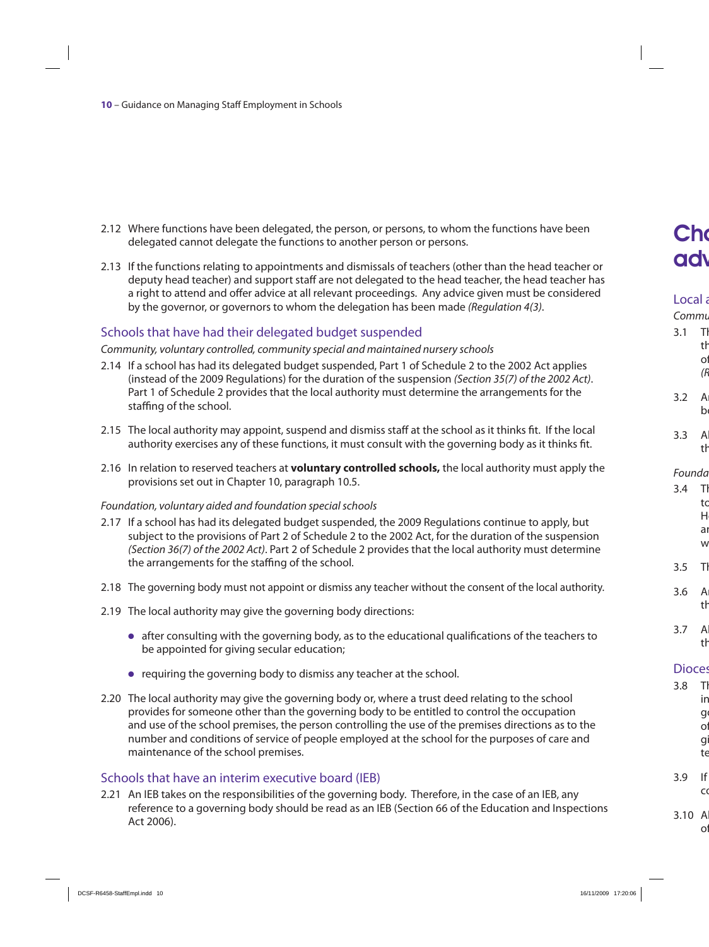- 2.12 Where functions have been delegated, the person, or persons, to whom the functions have been delegated cannot delegate the functions to another person or persons.
- 2.13 If the functions relating to appointments and dismissals of teachers (other than the head teacher or deputy head teacher) and support staff are not delegated to the head teacher, the head teacher has a right to attend and offer advice at all relevant proceedings. Any advice given must be considered by the governor, or governors to whom the delegation has been made (Regulation 4(3).

#### Schools that have had their delegated budget suspended

#### Community, voluntary controlled, community special and maintained nursery schools

- 2.14 If a school has had its delegated budget suspended, Part 1 of Schedule 2 to the 2002 Act applies (instead of the 2009 Regulations) for the duration of the suspension (Section 35(7) of the 2002 Act). Part 1 of Schedule 2 provides that the local authority must determine the arrangements for the staffing of the school.
- 2.15 The local authority may appoint, suspend and dismiss staff at the school as it thinks fit. If the local authority exercises any of these functions, it must consult with the governing body as it thinks fit.
- 2.16 In relation to reserved teachers at **voluntary controlled schools,** the local authority must apply the provisions set out in Chapter 10, paragraph 10.5.

#### Foundation, voluntary aided and foundation special schools

- 2.17 If a school has had its delegated budget suspended, the 2009 Regulations continue to apply, but subject to the provisions of Part 2 of Schedule 2 to the 2002 Act, for the duration of the suspension (Section 36(7) of the 2002 Act). Part 2 of Schedule 2 provides that the local authority must determine the arrangements for the staffing of the school.
- 2.18 The governing body must not appoint or dismiss any teacher without the consent of the local authority.
- 2.19 The local authority may give the governing body directions:
	- O after consulting with the governing body, as to the educational qualifications of the teachers to be appointed for giving secular education;
	- O requiring the governing body to dismiss any teacher at the school.
- 2.20 The local authority may give the governing body or, where a trust deed relating to the school provides for someone other than the governing body to be entitled to control the occupation and use of the school premises, the person controlling the use of the premises directions as to the number and conditions of service of people employed at the school for the purposes of care and maintenance of the school premises.

#### Schools that have an interim executive board (IEB)

2.21 An IEB takes on the responsibilities of the governing body. Therefore, in the case of an IEB, any reference to a governing body should be read as an IEB (Section 66 of the Education and Inspections Act 2006).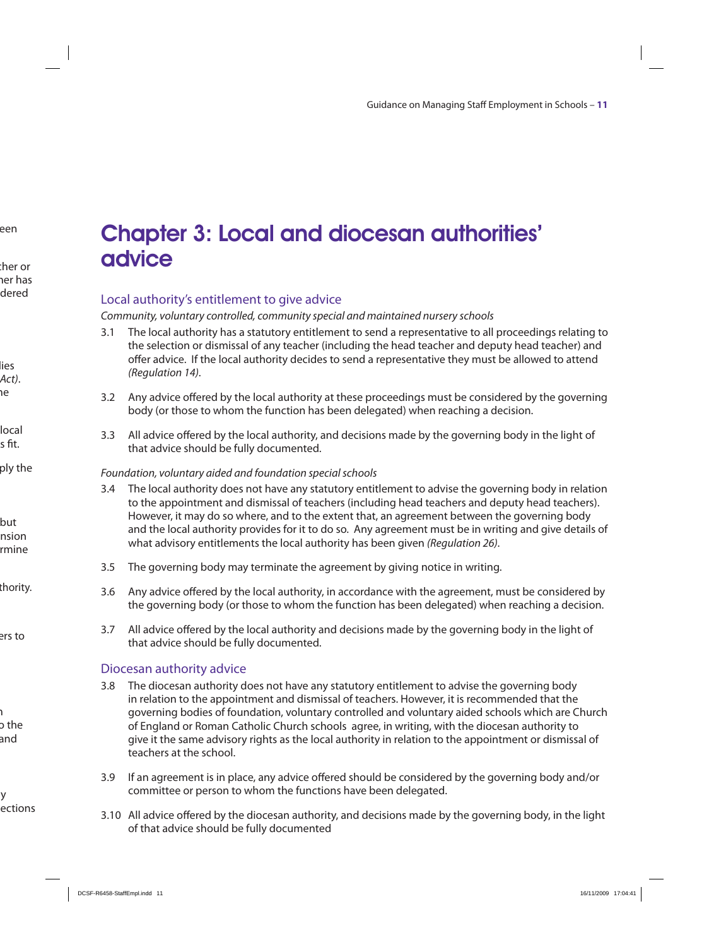### Chapter 3: Local and diocesan authorities' advice

#### Local authority's entitlement to give advice

Community, voluntary controlled, community special and maintained nursery schools

- 3.1 The local authority has a statutory entitlement to send a representative to all proceedings relating to the selection or dismissal of any teacher (including the head teacher and deputy head teacher) and offer advice. If the local authority decides to send a representative they must be allowed to attend (Regulation 14).
- 3.2 Any advice offered by the local authority at these proceedings must be considered by the governing body (or those to whom the function has been delegated) when reaching a decision.
- 3.3 All advice offered by the local authority, and decisions made by the governing body in the light of that advice should be fully documented.

#### Foundation, voluntary aided and foundation special schools

- 3.4 The local authority does not have any statutory entitlement to advise the governing body in relation to the appointment and dismissal of teachers (including head teachers and deputy head teachers). However, it may do so where, and to the extent that, an agreement between the governing body and the local authority provides for it to do so. Any agreement must be in writing and give details of what advisory entitlements the local authority has been given (Regulation 26).
- 3.5 The governing body may terminate the agreement by giving notice in writing.
- 3.6 Any advice offered by the local authority, in accordance with the agreement, must be considered by the governing body (or those to whom the function has been delegated) when reaching a decision.
- 3.7 All advice offered by the local authority and decisions made by the governing body in the light of that advice should be fully documented.

#### Diocesan authority advice

- 3.8 The diocesan authority does not have any statutory entitlement to advise the governing body in relation to the appointment and dismissal of teachers. However, it is recommended that the governing bodies of foundation, voluntary controlled and voluntary aided schools which are Church of England or Roman Catholic Church schools agree, in writing, with the diocesan authority to give it the same advisory rights as the local authority in relation to the appointment or dismissal of teachers at the school.
- 3.9 If an agreement is in place, any advice offered should be considered by the governing body and/or committee or person to whom the functions have been delegated.
- 3.10 All advice offered by the diocesan authority, and decisions made by the governing body, in the light of that advice should be fully documented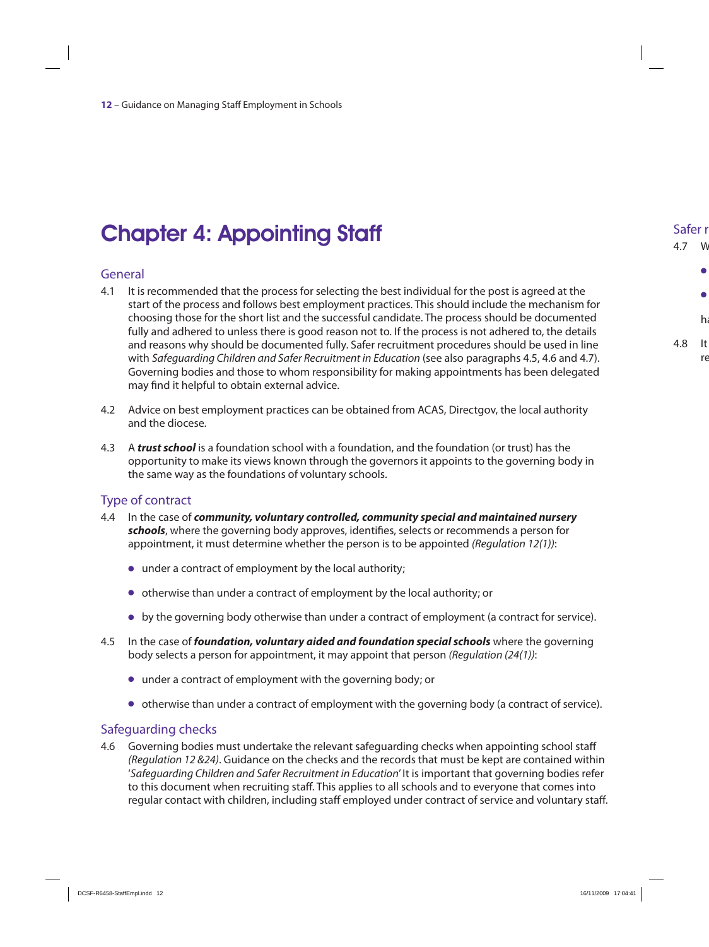# Chapter 4: Appointing Staff

#### General

- 4.1 It is recommended that the process for selecting the best individual for the post is agreed at the start of the process and follows best employment practices. This should include the mechanism for choosing those for the short list and the successful candidate. The process should be documented fully and adhered to unless there is good reason not to. If the process is not adhered to, the details and reasons why should be documented fully. Safer recruitment procedures should be used in line with Safeguarding Children and Safer Recruitment in Education (see also paragraphs 4.5, 4.6 and 4.7). Governing bodies and those to whom responsibility for making appointments has been delegated may find it helpful to obtain external advice.
- 4.2 Advice on best employment practices can be obtained from ACAS, Directgov, the local authority and the diocese.
- 4.3 A *trust school* is a foundation school with a foundation, and the foundation (or trust) has the opportunity to make its views known through the governors it appoints to the governing body in the same way as the foundations of voluntary schools.

#### Type of contract

- 4.4 In the case of *community, voluntary controlled, community special and maintained nursery schools*, where the governing body approves, identifies, selects or recommends a person for appointment, it must determine whether the person is to be appointed (Regulation 12(1)):
	- $\bullet$  under a contract of employment by the local authority;
	- O otherwise than under a contract of employment by the local authority; or
	- O by the governing body otherwise than under a contract of employment (a contract for service).
- 4.5 In the case of *foundation, voluntary aided and foundation special schools* where the governing body selects a person for appointment, it may appoint that person (Regulation (24(1)):
	- O under a contract of employment with the governing body; or
	- O otherwise than under a contract of employment with the governing body (a contract of service).

#### Safeguarding checks

4.6 Governing bodies must undertake the relevant safeguarding checks when appointing school staff (Regulation 12 &24). Guidance on the checks and the records that must be kept are contained within 'Safeguarding Children and Safer Recruitment in Education' It is important that governing bodies refer to this document when recruiting staff. This applies to all schools and to everyone that comes into regular contact with children, including staff employed under contract of service and voluntary staff.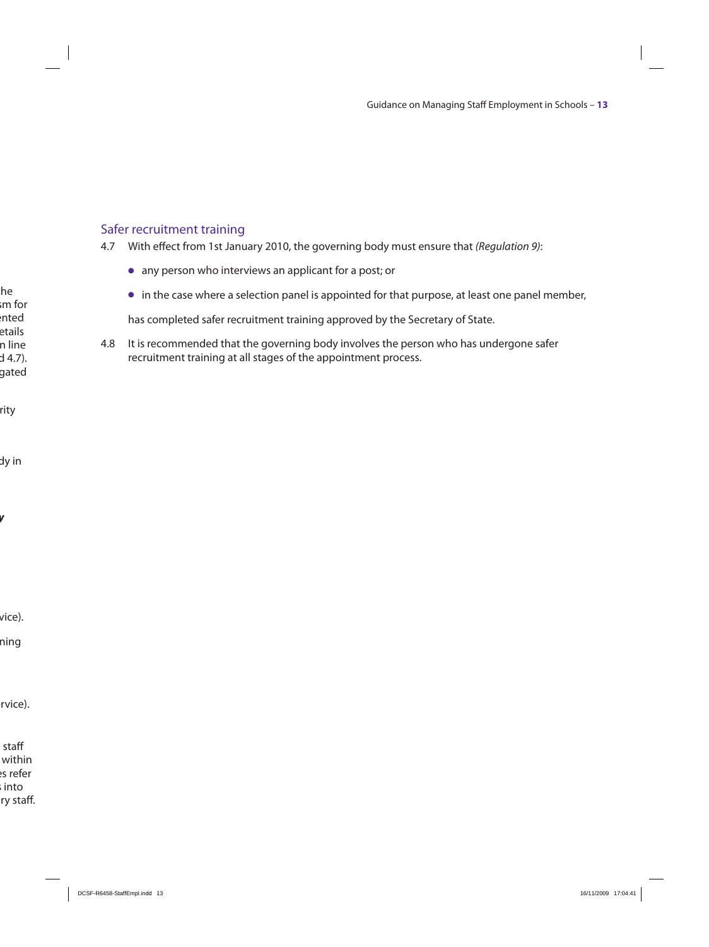#### Safer recruitment training

4.7 With effect from 1st January 2010, the governing body must ensure that (Regulation 9):

- O any person who interviews an applicant for a post; or
- O in the case where a selection panel is appointed for that purpose, at least one panel member,

has completed safer recruitment training approved by the Secretary of State.

4.8 It is recommended that the governing body involves the person who has undergone safer recruitment training at all stages of the appointment process.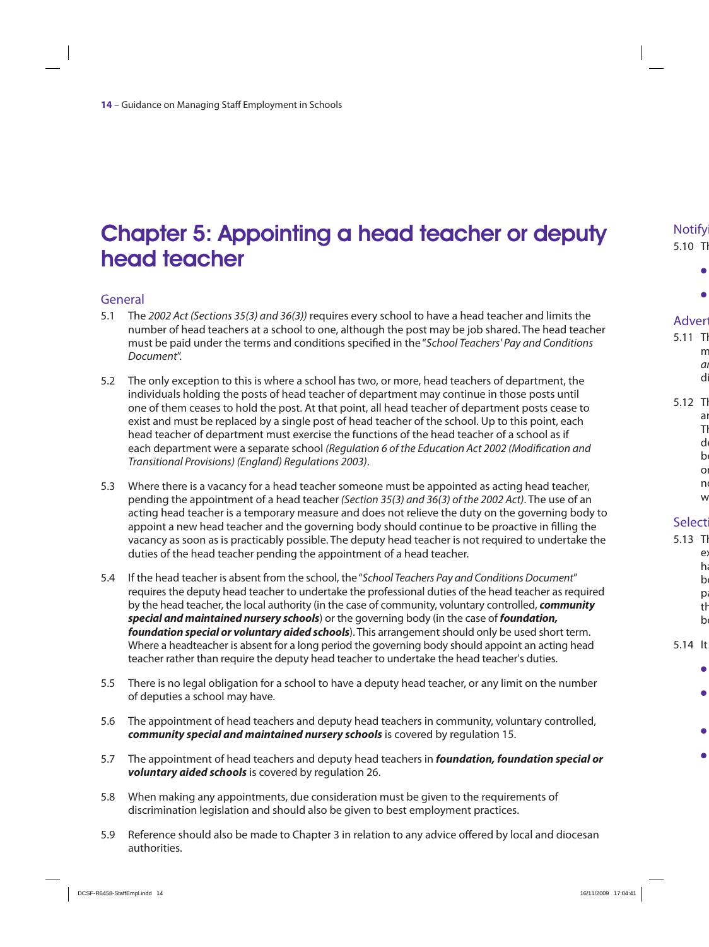### Chapter 5: Appointing a head teacher or deputy head teacher

#### General

- 5.1 The 2002 Act (Sections 35(3) and 36(3)) requires every school to have a head teacher and limits the number of head teachers at a school to one, although the post may be job shared. The head teacher must be paid under the terms and conditions specified in the "School Teachers' Pay and Conditions Document".
- 5.2 The only exception to this is where a school has two, or more, head teachers of department, the individuals holding the posts of head teacher of department may continue in those posts until one of them ceases to hold the post. At that point, all head teacher of department posts cease to exist and must be replaced by a single post of head teacher of the school. Up to this point, each head teacher of department must exercise the functions of the head teacher of a school as if each department were a separate school (Regulation 6 of the Education Act 2002 (Modification and Transitional Provisions) (England) Regulations 2003).
- 5.3 Where there is a vacancy for a head teacher someone must be appointed as acting head teacher, pending the appointment of a head teacher (Section 35(3) and 36(3) of the 2002 Act). The use of an acting head teacher is a temporary measure and does not relieve the duty on the governing body to appoint a new head teacher and the governing body should continue to be proactive in filling the vacancy as soon as is practicably possible. The deputy head teacher is not required to undertake the duties of the head teacher pending the appointment of a head teacher.
- 5.4 If the head teacher is absent from the school, the "School Teachers Pay and Conditions Document" requires the deputy head teacher to undertake the professional duties of the head teacher as required by the head teacher, the local authority (in the case of community, voluntary controlled, *community special and maintained nursery schools*) or the governing body (in the case of *foundation, foundation special or voluntary aided schools*). This arrangement should only be used short term. Where a headteacher is absent for a long period the governing body should appoint an acting head teacher rather than require the deputy head teacher to undertake the head teacher's duties.
- 5.5 There is no legal obligation for a school to have a deputy head teacher, or any limit on the number of deputies a school may have.
- 5.6 The appointment of head teachers and deputy head teachers in community, voluntary controlled, *community special and maintained nursery schools* is covered by regulation 15.
- 5.7 The appointment of head teachers and deputy head teachers in *foundation, foundation special or voluntary aided schools* is covered by regulation 26.
- 5.8 When making any appointments, due consideration must be given to the requirements of discrimination legislation and should also be given to best employment practices.
- 5.9 Reference should also be made to Chapter 3 in relation to any advice offered by local and diocesan authorities.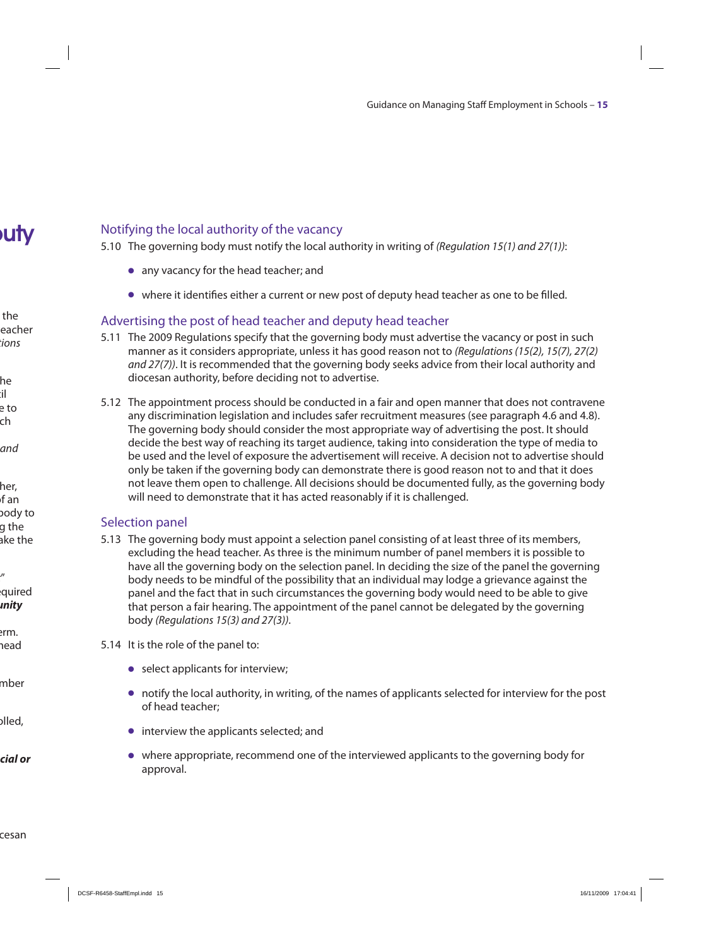#### Notifying the local authority of the vacancy

5.10 The governing body must notify the local authority in writing of (Regulation 15(1) and 27(1)):

- any vacancy for the head teacher; and
- O where it identifies either a current or new post of deputy head teacher as one to be filled.

#### Advertising the post of head teacher and deputy head teacher

- 5.11 The 2009 Regulations specify that the governing body must advertise the vacancy or post in such manner as it considers appropriate, unless it has good reason not to (Regulations (15(2), 15(7), 27(2) and 27(7)). It is recommended that the governing body seeks advice from their local authority and diocesan authority, before deciding not to advertise.
- 5.12 The appointment process should be conducted in a fair and open manner that does not contravene any discrimination legislation and includes safer recruitment measures (see paragraph 4.6 and 4.8). The governing body should consider the most appropriate way of advertising the post. It should decide the best way of reaching its target audience, taking into consideration the type of media to be used and the level of exposure the advertisement will receive. A decision not to advertise should only be taken if the governing body can demonstrate there is good reason not to and that it does not leave them open to challenge. All decisions should be documented fully, as the governing body will need to demonstrate that it has acted reasonably if it is challenged.

#### Selection panel

- 5.13 The governing body must appoint a selection panel consisting of at least three of its members, excluding the head teacher. As three is the minimum number of panel members it is possible to have all the governing body on the selection panel. In deciding the size of the panel the governing body needs to be mindful of the possibility that an individual may lodge a grievance against the panel and the fact that in such circumstances the governing body would need to be able to give that person a fair hearing. The appointment of the panel cannot be delegated by the governing body (Regulations 15(3) and 27(3)).
- 5.14 It is the role of the panel to:
	- $\bullet$  select applicants for interview;
	- O notify the local authority, in writing, of the names of applicants selected for interview for the post of head teacher;
	- $\bullet$  interview the applicants selected; and
	- O where appropriate, recommend one of the interviewed applicants to the governing body for approval.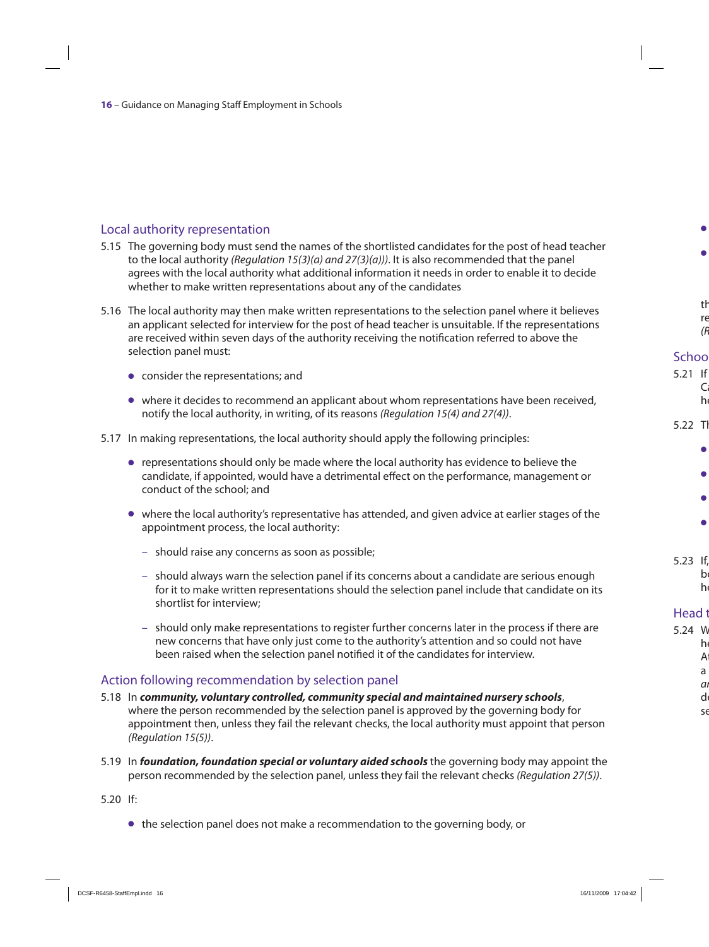#### Local authority representation

- 5.15 The governing body must send the names of the shortlisted candidates for the post of head teacher to the local authority (Regulation 15(3)(a) and  $27(3)(a)$ )). It is also recommended that the panel agrees with the local authority what additional information it needs in order to enable it to decide whether to make written representations about any of the candidates
- 5.16 The local authority may then make written representations to the selection panel where it believes an applicant selected for interview for the post of head teacher is unsuitable. If the representations are received within seven days of the authority receiving the notification referred to above the selection panel must:
	- $\bullet$  consider the representations; and
	- $\bullet$  where it decides to recommend an applicant about whom representations have been received, notify the local authority, in writing, of its reasons (Regulation 15(4) and 27(4)).
- 5.17 In making representations, the local authority should apply the following principles:
	- O representations should only be made where the local authority has evidence to believe the candidate, if appointed, would have a detrimental effect on the performance, management or conduct of the school; and
	- O where the local authority's representative has attended, and given advice at earlier stages of the appointment process, the local authority:
		- should raise any concerns as soon as possible;
		- should always warn the selection panel if its concerns about a candidate are serious enough for it to make written representations should the selection panel include that candidate on its shortlist for interview;
		- should only make representations to register further concerns later in the process if there are new concerns that have only just come to the authority's attention and so could not have been raised when the selection panel notified it of the candidates for interview.

#### Action following recommendation by selection panel

- 5.18 In *community, voluntary controlled, community special and maintained nursery schools*, where the person recommended by the selection panel is approved by the governing body for appointment then, unless they fail the relevant checks, the local authority must appoint that person (Regulation 15(5)).
- 5.19 In *foundation, foundation special or voluntary aided schools* the governing body may appoint the person recommended by the selection panel, unless they fail the relevant checks (Regulation 27(5)).

5.20 If:

 $\bullet$  the selection panel does not make a recommendation to the governing body, or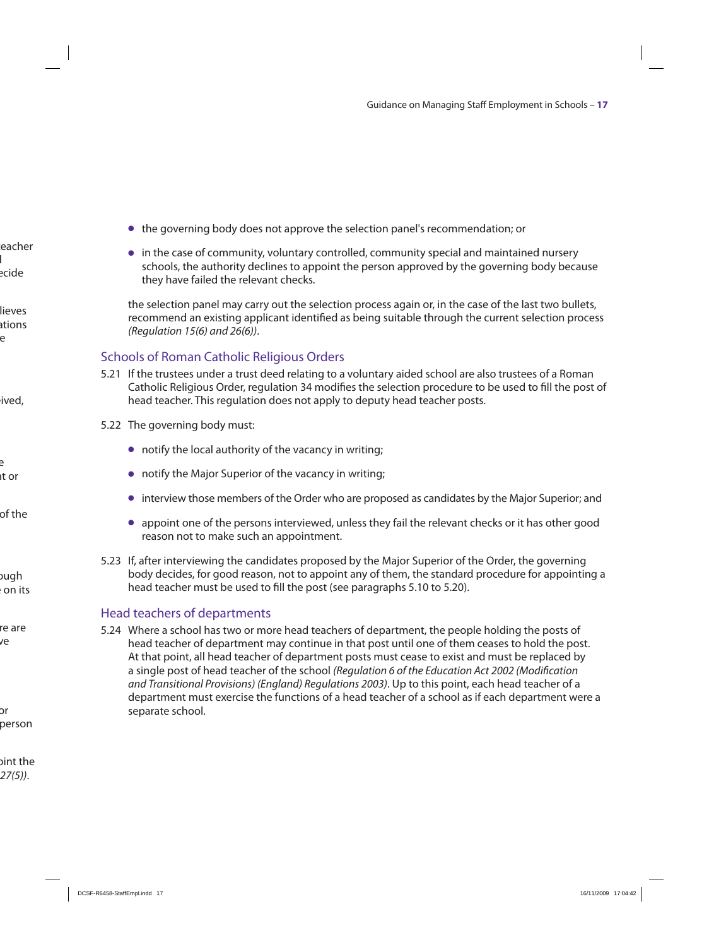- O the governing body does not approve the selection panel's recommendation; or
- O in the case of community, voluntary controlled, community special and maintained nursery schools, the authority declines to appoint the person approved by the governing body because they have failed the relevant checks.

 the selection panel may carry out the selection process again or, in the case of the last two bullets, recommend an existing applicant identified as being suitable through the current selection process (Regulation 15(6) and 26(6)).

#### Schools of Roman Catholic Religious Orders

- 5.21 If the trustees under a trust deed relating to a voluntary aided school are also trustees of a Roman Catholic Religious Order, regulation 34 modifies the selection procedure to be used to fill the post of head teacher. This regulation does not apply to deputy head teacher posts.
- 5.22 The governing body must:
	- $\bullet$  notify the local authority of the vacancy in writing;
	- $\bullet$  notify the Major Superior of the vacancy in writing;
	- O interview those members of the Order who are proposed as candidates by the Major Superior; and
	- O appoint one of the persons interviewed, unless they fail the relevant checks or it has other good reason not to make such an appointment.
- 5.23 If, after interviewing the candidates proposed by the Major Superior of the Order, the governing body decides, for good reason, not to appoint any of them, the standard procedure for appointing a head teacher must be used to fill the post (see paragraphs 5.10 to 5.20).

#### Head teachers of departments

5.24 Where a school has two or more head teachers of department, the people holding the posts of head teacher of department may continue in that post until one of them ceases to hold the post. At that point, all head teacher of department posts must cease to exist and must be replaced by a single post of head teacher of the school (Regulation 6 of the Education Act 2002 (Modification and Transitional Provisions) (England) Regulations 2003). Up to this point, each head teacher of a department must exercise the functions of a head teacher of a school as if each department were a separate school.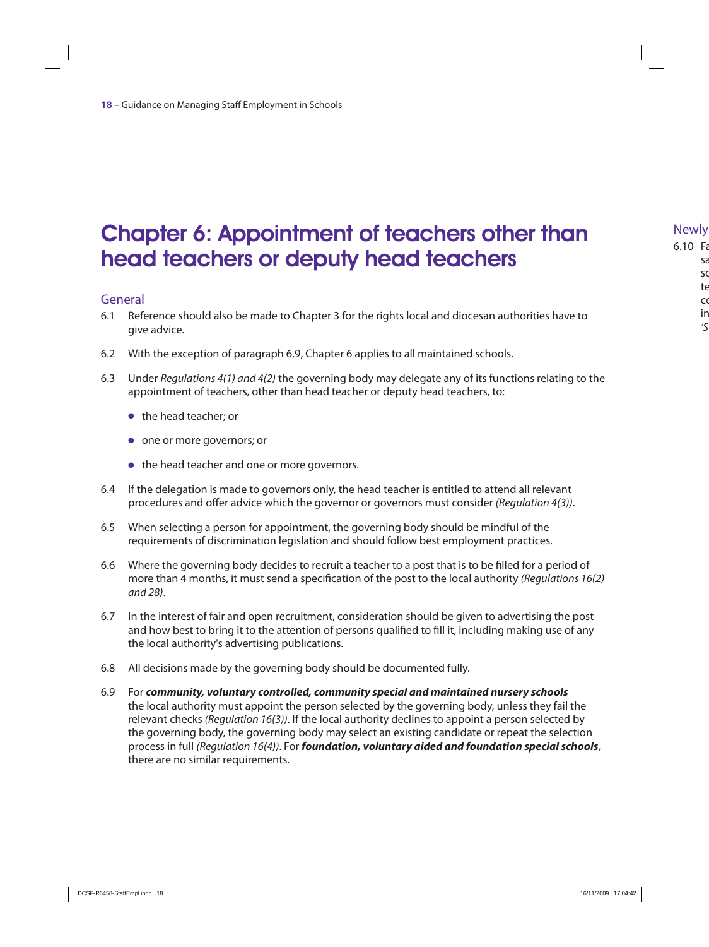### Chapter 6: Appointment of teachers other than head teachers or deputy head teachers

#### General

- 6.1 Reference should also be made to Chapter 3 for the rights local and diocesan authorities have to give advice.
- 6.2 With the exception of paragraph 6.9, Chapter 6 applies to all maintained schools.
- 6.3 Under Regulations 4(1) and 4(2) the governing body may delegate any of its functions relating to the appointment of teachers, other than head teacher or deputy head teachers, to:
	- $\bullet$  the head teacher; or
	- $\bullet$  one or more governors; or
	- the head teacher and one or more governors.
- 6.4 If the delegation is made to governors only, the head teacher is entitled to attend all relevant procedures and offer advice which the governor or governors must consider (Regulation 4(3)).
- 6.5 When selecting a person for appointment, the governing body should be mindful of the requirements of discrimination legislation and should follow best employment practices.
- 6.6 Where the governing body decides to recruit a teacher to a post that is to be filled for a period of more than 4 months, it must send a specification of the post to the local authority (Regulations 16(2) and 28).
- 6.7 In the interest of fair and open recruitment, consideration should be given to advertising the post and how best to bring it to the attention of persons qualified to fill it, including making use of any the local authority's advertising publications.
- 6.8 All decisions made by the governing body should be documented fully.
- 6.9 For *community, voluntary controlled, community special and maintained nursery schools* the local authority must appoint the person selected by the governing body, unless they fail the relevant checks (Regulation 16(3)). If the local authority declines to appoint a person selected by the governing body, the governing body may select an existing candidate or repeat the selection process in full (Regulation 16(4)). For *foundation, voluntary aided and foundation special schools*, there are no similar requirements.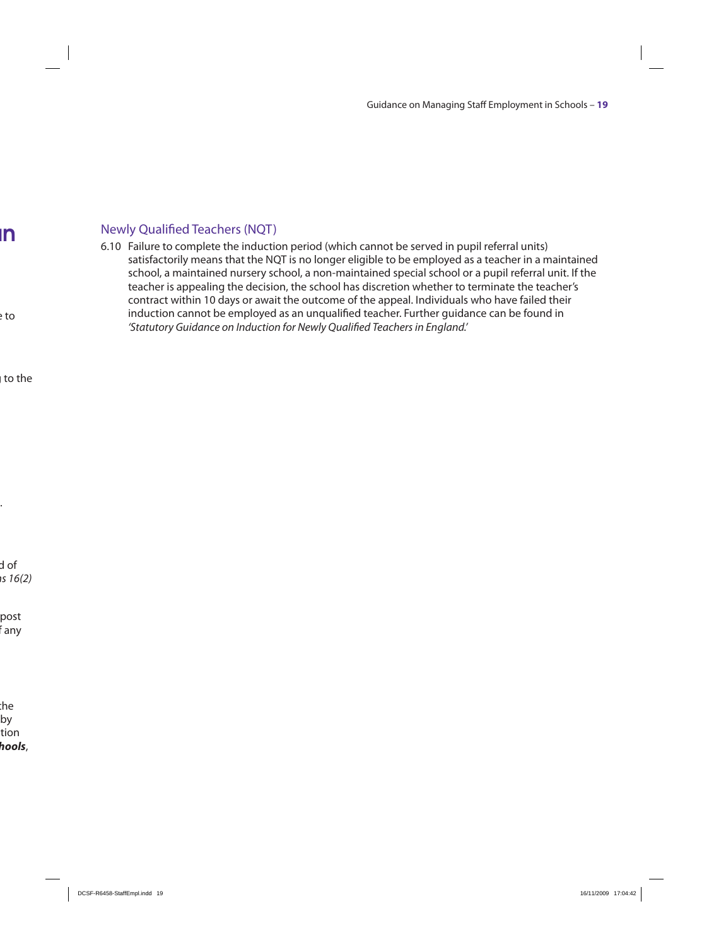#### Newly Qualified Teachers (NQT)

6.10 Failure to complete the induction period (which cannot be served in pupil referral units) satisfactorily means that the NQT is no longer eligible to be employed as a teacher in a maintained school, a maintained nursery school, a non-maintained special school or a pupil referral unit. If the teacher is appealing the decision, the school has discretion whether to terminate the teacher's contract within 10 days or await the outcome of the appeal. Individuals who have failed their induction cannot be employed as an unqualified teacher. Further guidance can be found in 'Statutory Guidance on Induction for Newly Qualified Teachers in England.'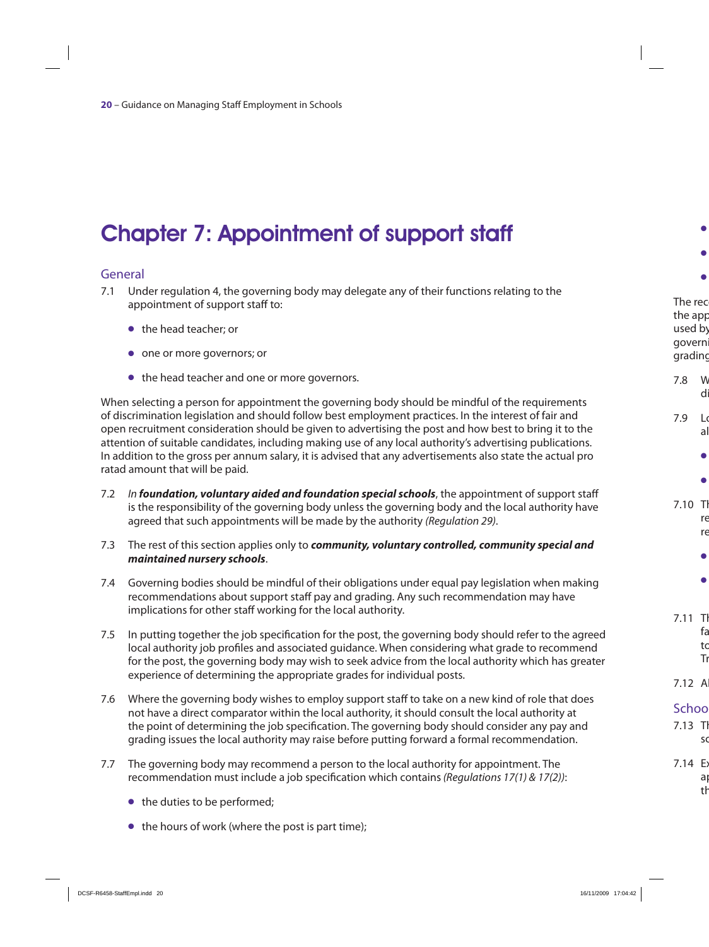# Chapter 7: Appointment of support staff

#### General

- 7.1 Under regulation 4, the governing body may delegate any of their functions relating to the appointment of support staff to:
	- the head teacher; or
	- $\bullet$  one or more governors; or
	- $\bullet$  the head teacher and one or more governors.

When selecting a person for appointment the governing body should be mindful of the requirements of discrimination legislation and should follow best employment practices. In the interest of fair and open recruitment consideration should be given to advertising the post and how best to bring it to the attention of suitable candidates, including making use of any local authority's advertising publications. In addition to the gross per annum salary, it is advised that any advertisements also state the actual pro ratad amount that will be paid.

- 7.2 In *foundation, voluntary aided and foundation special schools*, the appointment of support staff is the responsibility of the governing body unless the governing body and the local authority have agreed that such appointments will be made by the authority (Regulation 29).
- 7.3 The rest of this section applies only to *community, voluntary controlled, community special and maintained nursery schools*.
- 7.4 Governing bodies should be mindful of their obligations under equal pay legislation when making recommendations about support staff pay and grading. Any such recommendation may have implications for other staff working for the local authority.
- 7.5 In putting together the job specification for the post, the governing body should refer to the agreed local authority job profiles and associated guidance. When considering what grade to recommend for the post, the governing body may wish to seek advice from the local authority which has greater experience of determining the appropriate grades for individual posts.
- 7.6 Where the governing body wishes to employ support staff to take on a new kind of role that does not have a direct comparator within the local authority, it should consult the local authority at the point of determining the job specification. The governing body should consider any pay and grading issues the local authority may raise before putting forward a formal recommendation.
- 7.7 The governing body may recommend a person to the local authority for appointment. The recommendation must include a job specification which contains (Regulations 17(1) & 17(2)):
	- $\bullet$  the duties to be performed;
	- $\bullet$  the hours of work (where the post is part time);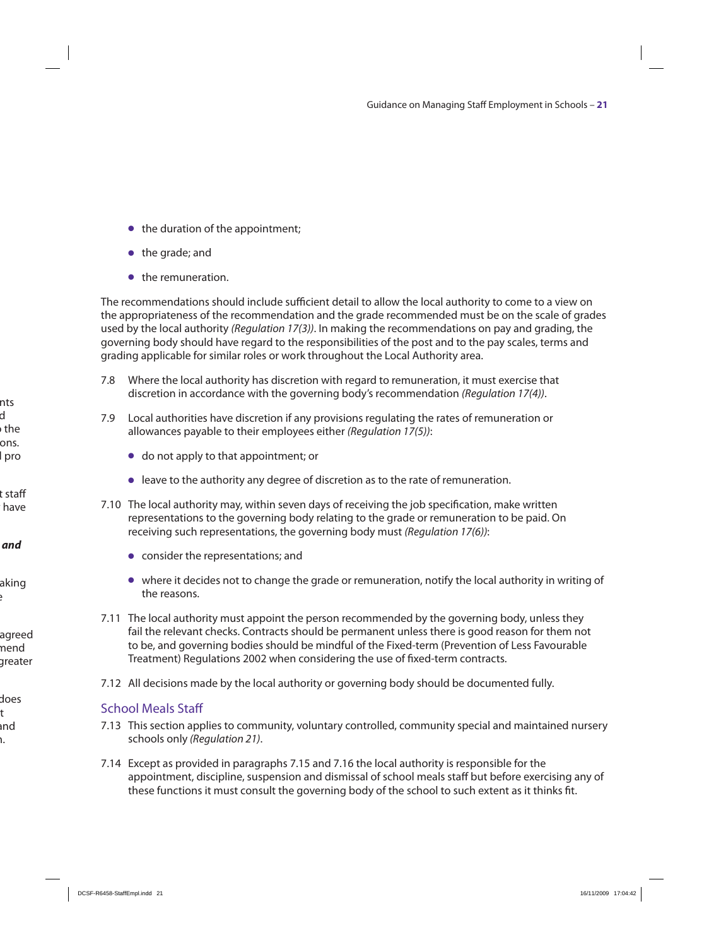- $\bullet$  the duration of the appointment;
- $\bullet$  the grade; and
- **•** the remuneration.

The recommendations should include sufficient detail to allow the local authority to come to a view on the appropriateness of the recommendation and the grade recommended must be on the scale of grades used by the local authority (Regulation 17(3)). In making the recommendations on pay and grading, the governing body should have regard to the responsibilities of the post and to the pay scales, terms and grading applicable for similar roles or work throughout the Local Authority area.

- 7.8 Where the local authority has discretion with regard to remuneration, it must exercise that discretion in accordance with the governing body's recommendation (Regulation 17(4)).
- 7.9 Local authorities have discretion if any provisions regulating the rates of remuneration or allowances payable to their employees either (Regulation 17(5)):
	- $\bullet$  do not apply to that appointment; or
	- O leave to the authority any degree of discretion as to the rate of remuneration.
- 7.10 The local authority may, within seven days of receiving the job specification, make written representations to the governing body relating to the grade or remuneration to be paid. On receiving such representations, the governing body must (Regulation 17(6)):
	- $\bullet$  consider the representations; and
	- O where it decides not to change the grade or remuneration, notify the local authority in writing of the reasons.
- 7.11 The local authority must appoint the person recommended by the governing body, unless they fail the relevant checks. Contracts should be permanent unless there is good reason for them not to be, and governing bodies should be mindful of the Fixed-term (Prevention of Less Favourable Treatment) Regulations 2002 when considering the use of fixed-term contracts.
- 7.12 All decisions made by the local authority or governing body should be documented fully.

#### School Meals Staff

- 7.13 This section applies to community, voluntary controlled, community special and maintained nursery schools only (Regulation 21).
- 7.14 Except as provided in paragraphs 7.15 and 7.16 the local authority is responsible for the appointment, discipline, suspension and dismissal of school meals staff but before exercising any of these functions it must consult the governing body of the school to such extent as it thinks fit.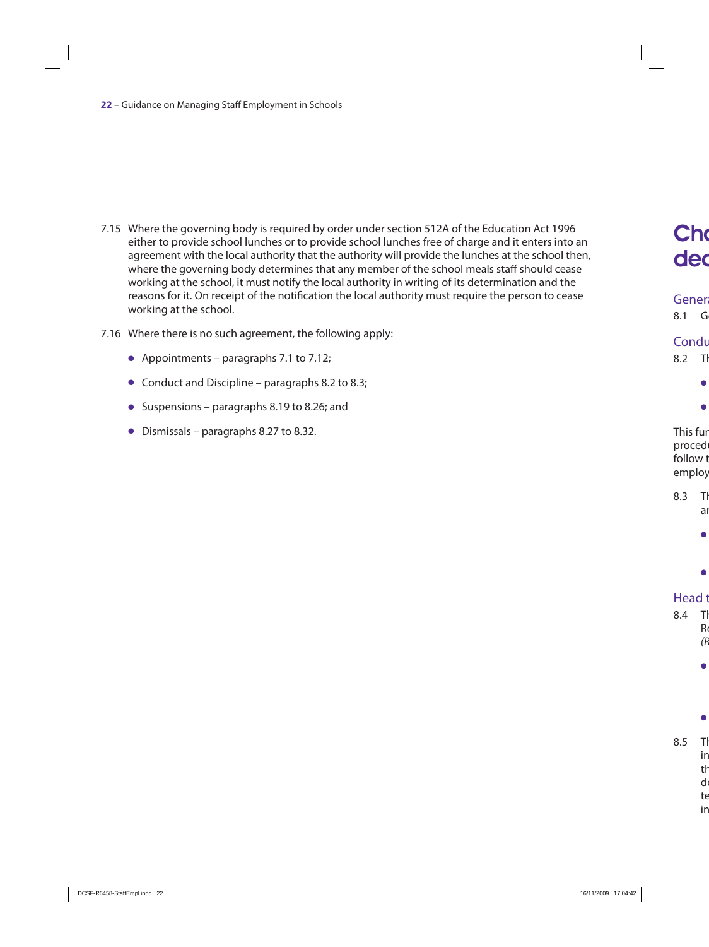- 7.15 Where the governing body is required by order under section 512A of the Education Act 1996 either to provide school lunches or to provide school lunches free of charge and it enters into an agreement with the local authority that the authority will provide the lunches at the school then, where the governing body determines that any member of the school meals staff should cease working at the school, it must notify the local authority in writing of its determination and the reasons for it. On receipt of the notification the local authority must require the person to cease working at the school.
- 7.16 Where there is no such agreement, the following apply:
	- Appointments paragraphs 7.1 to 7.12;
	- $\bullet$  Conduct and Discipline paragraphs 8.2 to 8.3;
	- $\bullet$  Suspensions paragraphs 8.19 to 8.26; and
	- $\bullet$  Dismissals paragraphs 8.27 to 8.32.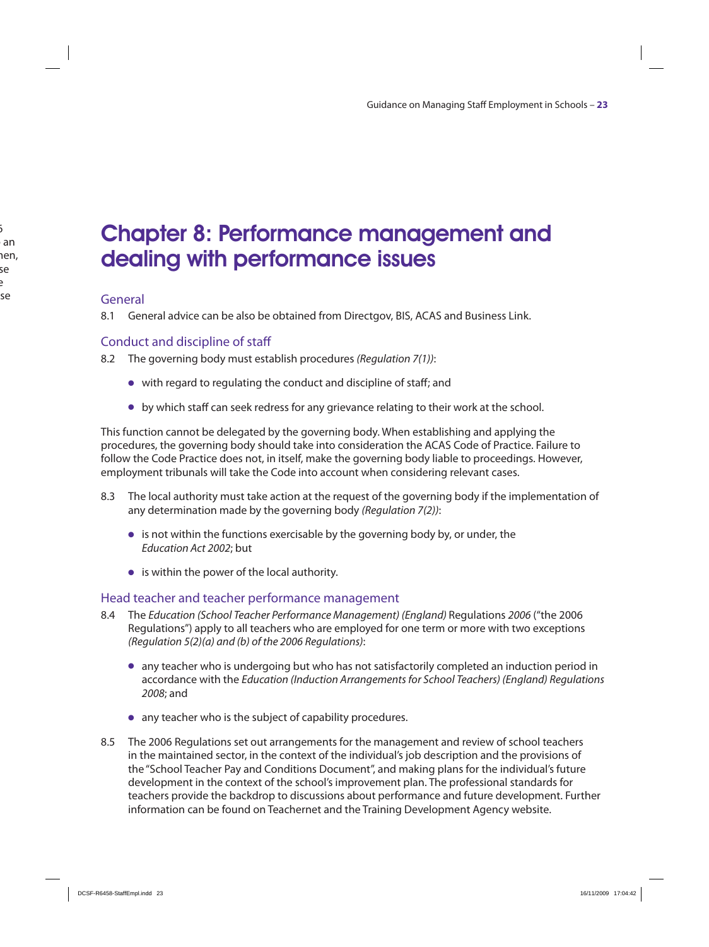### Chapter 8: Performance management and dealing with performance issues

#### General

8.1 General advice can be also be obtained from Directgov, BIS, ACAS and Business Link.

#### Conduct and discipline of staff

8.2 The governing body must establish procedures (Regulation 7(1)):

- O with regard to regulating the conduct and discipline of staff; and
- O by which staff can seek redress for any grievance relating to their work at the school.

This function cannot be delegated by the governing body. When establishing and applying the procedures, the governing body should take into consideration the ACAS Code of Practice. Failure to follow the Code Practice does not, in itself, make the governing body liable to proceedings. However, employment tribunals will take the Code into account when considering relevant cases.

- 8.3 The local authority must take action at the request of the governing body if the implementation of any determination made by the governing body (Regulation 7(2)):
	- $\bullet$  is not within the functions exercisable by the governing body by, or under, the Education Act 2002; but
	- $\bullet$  is within the power of the local authority.

#### Head teacher and teacher performance management

- 8.4 The Education (School Teacher Performance Management) (England) Regulations 2006 ("the 2006 Regulations") apply to all teachers who are employed for one term or more with two exceptions (Regulation 5(2)(a) and (b) of the 2006 Regulations):
	- O any teacher who is undergoing but who has not satisfactorily completed an induction period in accordance with the Education (Induction Arrangements for School Teachers) (England) Regulations 2008; and
	- O any teacher who is the subject of capability procedures.
- 8.5 The 2006 Regulations set out arrangements for the management and review of school teachers in the maintained sector, in the context of the individual's job description and the provisions of the "School Teacher Pay and Conditions Document", and making plans for the individual's future development in the context of the school's improvement plan. The professional standards for teachers provide the backdrop to discussions about performance and future development. Further information can be found on Teachernet and the Training Development Agency website.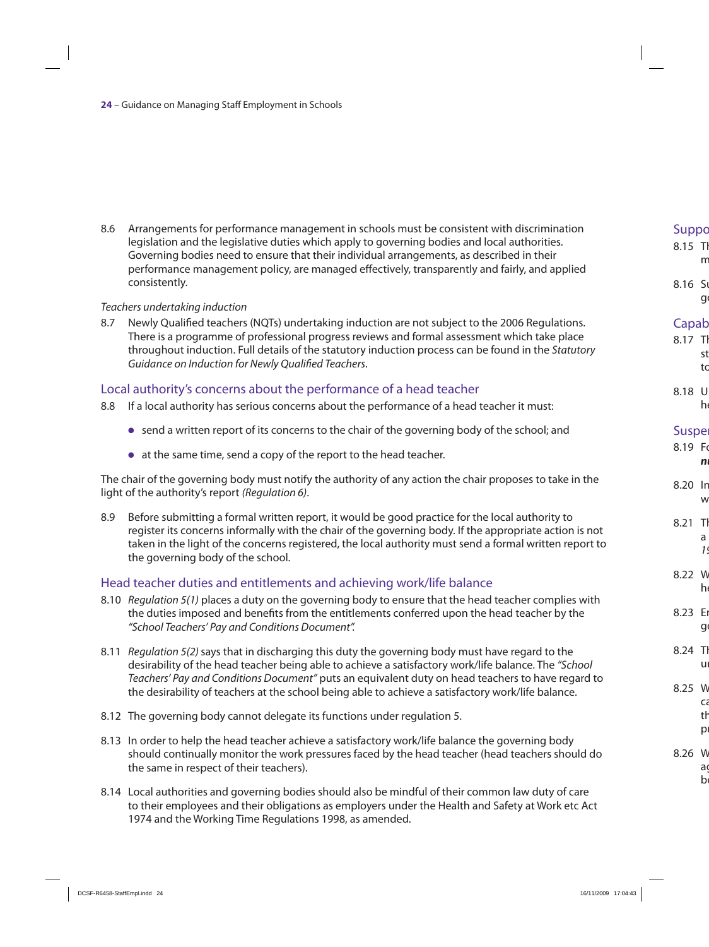8.6 Arrangements for performance management in schools must be consistent with discrimination legislation and the legislative duties which apply to governing bodies and local authorities. Governing bodies need to ensure that their individual arrangements, as described in their performance management policy, are managed effectively, transparently and fairly, and applied consistently.

#### Teachers undertaking induction

8.7 Newly Qualified teachers (NQTs) undertaking induction are not subject to the 2006 Regulations. There is a programme of professional progress reviews and formal assessment which take place throughout induction. Full details of the statutory induction process can be found in the Statutory Guidance on Induction for Newly Qualified Teachers.

#### Local authority's concerns about the performance of a head teacher

- 8.8 If a local authority has serious concerns about the performance of a head teacher it must:
	- O send a written report of its concerns to the chair of the governing body of the school; and
	- O at the same time, send a copy of the report to the head teacher.

The chair of the governing body must notify the authority of any action the chair proposes to take in the light of the authority's report (Regulation 6).

8.9 Before submitting a formal written report, it would be good practice for the local authority to register its concerns informally with the chair of the governing body. If the appropriate action is not taken in the light of the concerns registered, the local authority must send a formal written report to the governing body of the school.

#### Head teacher duties and entitlements and achieving work/life balance

- 8.10 Regulation 5(1) places a duty on the governing body to ensure that the head teacher complies with the duties imposed and benefits from the entitlements conferred upon the head teacher by the "School Teachers' Pay and Conditions Document".
- 8.11 Regulation 5(2) says that in discharging this duty the governing body must have regard to the desirability of the head teacher being able to achieve a satisfactory work/life balance. The "School Teachers' Pay and Conditions Document" puts an equivalent duty on head teachers to have regard to the desirability of teachers at the school being able to achieve a satisfactory work/life balance.
- 8.12 The governing body cannot delegate its functions under regulation 5.
- 8.13 In order to help the head teacher achieve a satisfactory work/life balance the governing body should continually monitor the work pressures faced by the head teacher (head teachers should do the same in respect of their teachers).
- 8.14 Local authorities and governing bodies should also be mindful of their common law duty of care to their employees and their obligations as employers under the Health and Safety at Work etc Act 1974 and the Working Time Regulations 1998, as amended.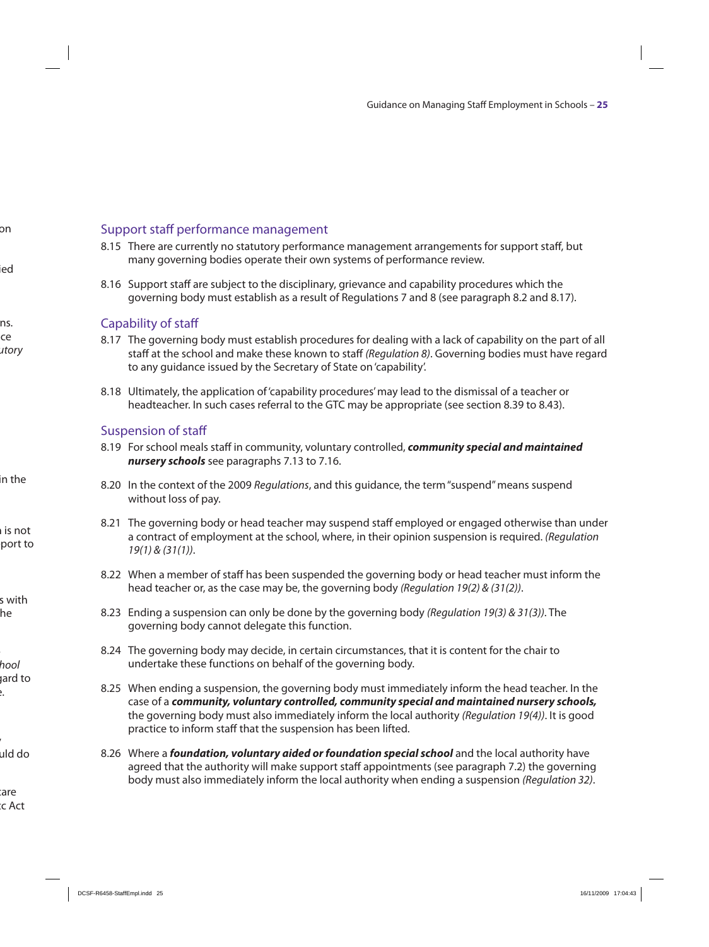#### Support staff performance management

- 8.15 There are currently no statutory performance management arrangements for support staff, but many governing bodies operate their own systems of performance review.
- 8.16 Support staff are subject to the disciplinary, grievance and capability procedures which the governing body must establish as a result of Regulations 7 and 8 (see paragraph 8.2 and 8.17).

#### Capability of staff

- 8.17 The governing body must establish procedures for dealing with a lack of capability on the part of all staff at the school and make these known to staff (Regulation 8). Governing bodies must have regard to any guidance issued by the Secretary of State on 'capability'.
- 8.18 Ultimately, the application of 'capability procedures' may lead to the dismissal of a teacher or headteacher. In such cases referral to the GTC may be appropriate (see section 8.39 to 8.43).

#### Suspension of staff

- 8.19 For school meals staff in community, voluntary controlled, *community special and maintained nursery schools* see paragraphs 7.13 to 7.16.
- 8.20 In the context of the 2009 Regulations, and this quidance, the term "suspend" means suspend without loss of pay.
- 8.21 The governing body or head teacher may suspend staff employed or engaged otherwise than under a contract of employment at the school, where, in their opinion suspension is required. (Regulation 19(1) & (31(1)).
- 8.22 When a member of staff has been suspended the governing body or head teacher must inform the head teacher or, as the case may be, the governing body (Regulation 19(2) & (31(2)).
- 8.23 Ending a suspension can only be done by the governing body (Regulation 19(3) & 31(3)). The governing body cannot delegate this function.
- 8.24 The governing body may decide, in certain circumstances, that it is content for the chair to undertake these functions on behalf of the governing body.
- 8.25 When ending a suspension, the governing body must immediately inform the head teacher. In the case of a *community, voluntary controlled, community special and maintained nursery schools,* the governing body must also immediately inform the local authority (Regulation 19(4)). It is good practice to inform staff that the suspension has been lifted.
- 8.26 Where a *foundation, voluntary aided or foundation special school* and the local authority have agreed that the authority will make support staff appointments (see paragraph 7.2) the governing body must also immediately inform the local authority when ending a suspension (Regulation 32).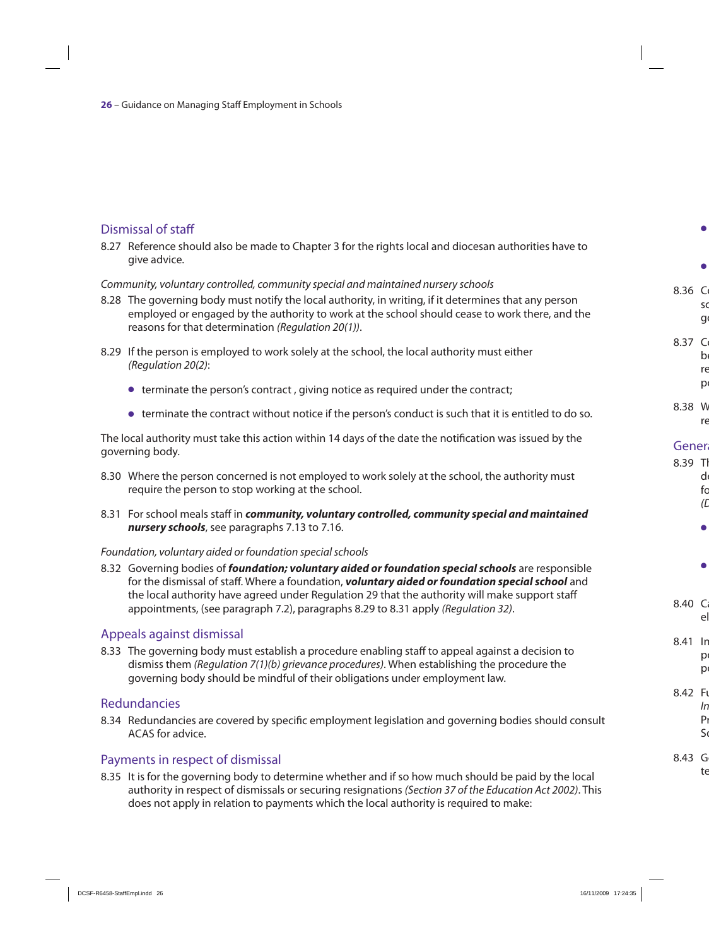#### Dismissal of staff

8.27 Reference should also be made to Chapter 3 for the rights local and diocesan authorities have to give advice.

#### Community, voluntary controlled, community special and maintained nursery schools

- 8.28 The governing body must notify the local authority, in writing, if it determines that any person employed or engaged by the authority to work at the school should cease to work there, and the reasons for that determination (Regulation 20(1)).
- 8.29 If the person is employed to work solely at the school, the local authority must either (Regulation 20(2):
	- O terminate the person's contract , giving notice as required under the contract;
	- $\bullet$  terminate the contract without notice if the person's conduct is such that it is entitled to do so.

The local authority must take this action within 14 days of the date the notification was issued by the governing body.

- 8.30 Where the person concerned is not employed to work solely at the school, the authority must require the person to stop working at the school.
- 8.31 For school meals staff in *community, voluntary controlled, community special and maintained nursery schools*, see paragraphs 7.13 to 7.16.

#### Foundation, voluntary aided or foundation special schools

8.32 Governing bodies of *foundation; voluntary aided or foundation special schools* are responsible for the dismissal of staff. Where a foundation, *voluntary aided or foundation special school* and the local authority have agreed under Regulation 29 that the authority will make support staff appointments, (see paragraph 7.2), paragraphs 8.29 to 8.31 apply (Regulation 32).

#### Appeals against dismissal

8.33 The governing body must establish a procedure enabling staff to appeal against a decision to dismiss them *(Regulation 7(1)(b) grievance procedures)*. When establishing the procedure the governing body should be mindful of their obligations under employment law.

#### Redundancies

8.34 Redundancies are covered by specific employment legislation and governing bodies should consult ACAS for advice.

#### Payments in respect of dismissal

8.35 It is for the governing body to determine whether and if so how much should be paid by the local authority in respect of dismissals or securing resignations (Section 37 of the Education Act 2002). This does not apply in relation to payments which the local authority is required to make: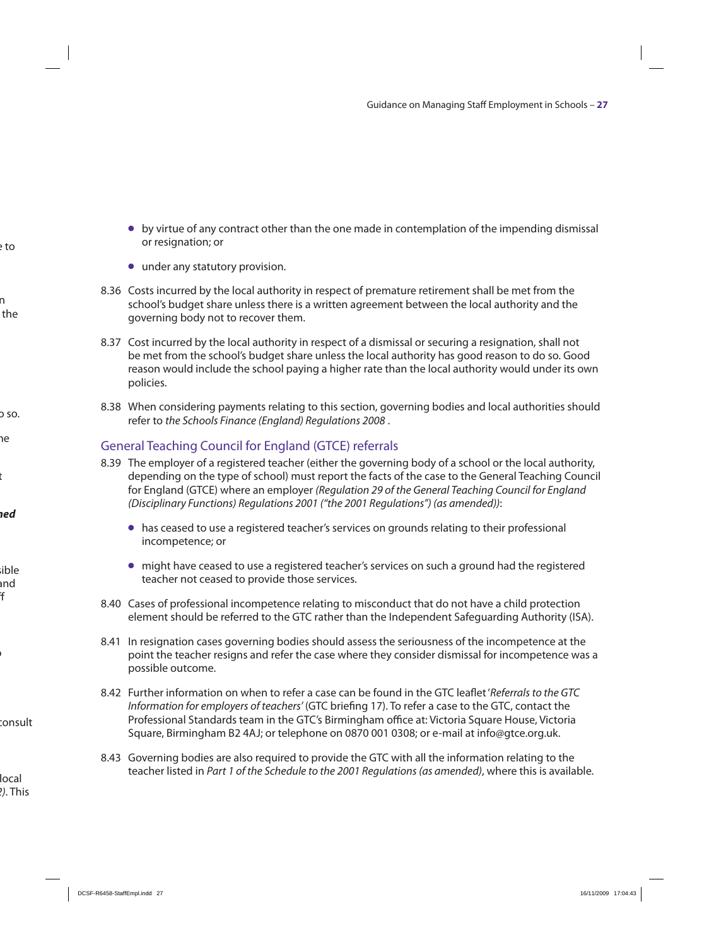- O by virtue of any contract other than the one made in contemplation of the impending dismissal or resignation; or
- under any statutory provision.
- 8.36 Costs incurred by the local authority in respect of premature retirement shall be met from the school's budget share unless there is a written agreement between the local authority and the governing body not to recover them.
- 8.37 Cost incurred by the local authority in respect of a dismissal or securing a resignation, shall not be met from the school's budget share unless the local authority has good reason to do so. Good reason would include the school paying a higher rate than the local authority would under its own policies.
- 8.38 When considering payments relating to this section, governing bodies and local authorities should refer to the Schools Finance (England) Regulations 2008 .

#### General Teaching Council for England (GTCE) referrals

- 8.39 The employer of a registered teacher (either the governing body of a school or the local authority, depending on the type of school) must report the facts of the case to the General Teaching Council for England (GTCE) where an employer (Regulation 29 of the General Teaching Council for England (Disciplinary Functions) Regulations 2001 ("the 2001 Regulations") (as amended)):
	- $\bullet$  has ceased to use a registered teacher's services on grounds relating to their professional incompetence; or
	- O might have ceased to use a registered teacher's services on such a ground had the registered teacher not ceased to provide those services.
- 8.40 Cases of professional incompetence relating to misconduct that do not have a child protection element should be referred to the GTC rather than the Independent Safeguarding Authority (ISA).
- 8.41 In resignation cases governing bodies should assess the seriousness of the incompetence at the point the teacher resigns and refer the case where they consider dismissal for incompetence was a possible outcome.
- 8.42 Further information on when to refer a case can be found in the GTC leaflet 'Referrals to the GTC Information for employers of teachers' (GTC briefing 17). To refer a case to the GTC, contact the Professional Standards team in the GTC's Birmingham office at: Victoria Square House, Victoria Square, Birmingham B2 4AJ; or telephone on 0870 001 0308; or e-mail at info@gtce.org.uk.
- 8.43 Governing bodies are also required to provide the GTC with all the information relating to the teacher listed in Part 1 of the Schedule to the 2001 Regulations (as amended), where this is available.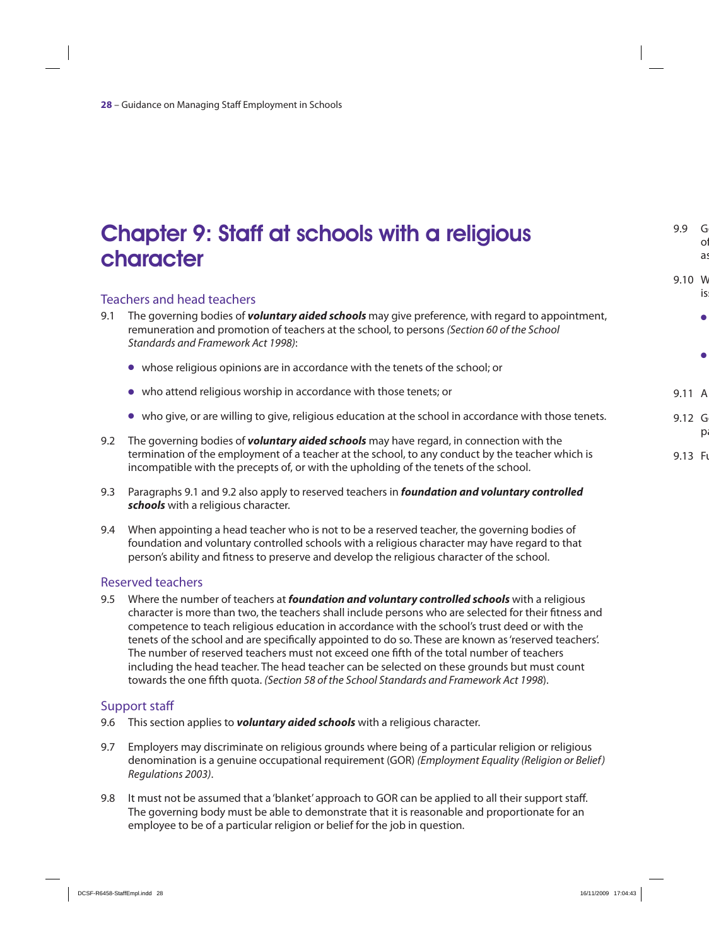### Chapter 9: Staff at schools with a religious character

#### Teachers and head teachers

- 9.1 The governing bodies of *voluntary aided schools* may give preference, with regard to appointment, remuneration and promotion of teachers at the school, to persons (Section 60 of the School Standards and Framework Act 1998):
	- O whose religious opinions are in accordance with the tenets of the school; or
	- O who attend religious worship in accordance with those tenets; or
	- O who give, or are willing to give, religious education at the school in accordance with those tenets.
- 9.2 The governing bodies of *voluntary aided schools* may have regard, in connection with the termination of the employment of a teacher at the school, to any conduct by the teacher which is incompatible with the precepts of, or with the upholding of the tenets of the school.
- 9.3 Paragraphs 9.1 and 9.2 also apply to reserved teachers in *foundation and voluntary controlled schools* with a religious character.
- 9.4 When appointing a head teacher who is not to be a reserved teacher, the governing bodies of foundation and voluntary controlled schools with a religious character may have regard to that person's ability and fitness to preserve and develop the religious character of the school.

#### Reserved teachers

9.5 Where the number of teachers at *foundation and voluntary controlled schools* with a religious character is more than two, the teachers shall include persons who are selected for their fitness and competence to teach religious education in accordance with the school's trust deed or with the tenets of the school and are specifically appointed to do so. These are known as 'reserved teachers'. The number of reserved teachers must not exceed one fifth of the total number of teachers including the head teacher. The head teacher can be selected on these grounds but must count towards the one fifth quota. (Section 58 of the School Standards and Framework Act 1998).

#### Support staff

- 9.6 This section applies to *voluntary aided schools* with a religious character.
- 9.7 Employers may discriminate on religious grounds where being of a particular religion or religious denomination is a genuine occupational requirement (GOR) (Employment Equality (Religion or Belief) Regulations 2003).
- 9.8 It must not be assumed that a 'blanket' approach to GOR can be applied to all their support staff. The governing body must be able to demonstrate that it is reasonable and proportionate for an employee to be of a particular religion or belief for the job in question.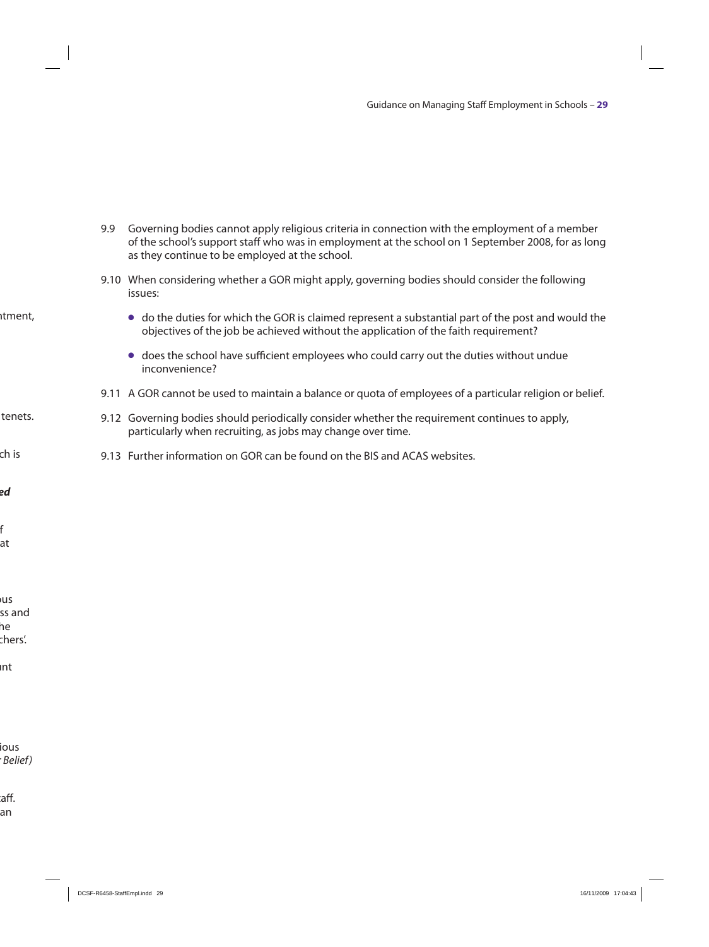- 9.9 Governing bodies cannot apply religious criteria in connection with the employment of a member of the school's support staff who was in employment at the school on 1 September 2008, for as long as they continue to be employed at the school.
- 9.10 When considering whether a GOR might apply, governing bodies should consider the following issues:
	- O do the duties for which the GOR is claimed represent a substantial part of the post and would the objectives of the job be achieved without the application of the faith requirement?
	- O does the school have sufficient employees who could carry out the duties without undue inconvenience?
- 9.11 A GOR cannot be used to maintain a balance or quota of employees of a particular religion or belief.
- 9.12 Governing bodies should periodically consider whether the requirement continues to apply, particularly when recruiting, as jobs may change over time.
- 9.13 Further information on GOR can be found on the BIS and ACAS websites.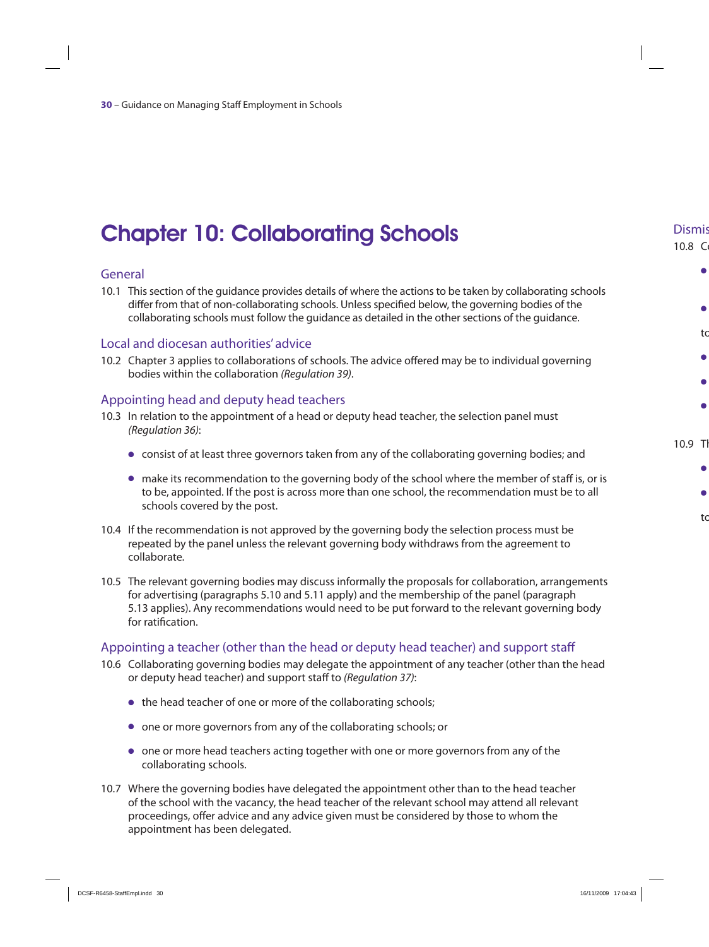# Chapter 10: Collaborating Schools

#### General

10.1 This section of the guidance provides details of where the actions to be taken by collaborating schools differ from that of non-collaborating schools. Unless specified below, the governing bodies of the collaborating schools must follow the guidance as detailed in the other sections of the guidance.

#### Local and diocesan authorities' advice

10.2 Chapter 3 applies to collaborations of schools. The advice offered may be to individual governing bodies within the collaboration (Regulation 39).

#### Appointing head and deputy head teachers

- 10.3 In relation to the appointment of a head or deputy head teacher, the selection panel must (Regulation 36):
	- O consist of at least three governors taken from any of the collaborating governing bodies; and
	- O make its recommendation to the governing body of the school where the member of staff is, or is to be, appointed. If the post is across more than one school, the recommendation must be to all schools covered by the post.
- 10.4 If the recommendation is not approved by the governing body the selection process must be repeated by the panel unless the relevant governing body withdraws from the agreement to collaborate.
- 10.5 The relevant governing bodies may discuss informally the proposals for collaboration, arrangements for advertising (paragraphs 5.10 and 5.11 apply) and the membership of the panel (paragraph 5.13 applies). Any recommendations would need to be put forward to the relevant governing body for ratification.

#### Appointing a teacher (other than the head or deputy head teacher) and support staff

- 10.6 Collaborating governing bodies may delegate the appointment of any teacher (other than the head or deputy head teacher) and support staff to (Regulation 37):
	- the head teacher of one or more of the collaborating schools;
	- O one or more governors from any of the collaborating schools; or
	- O one or more head teachers acting together with one or more governors from any of the collaborating schools.
- 10.7 Where the governing bodies have delegated the appointment other than to the head teacher of the school with the vacancy, the head teacher of the relevant school may attend all relevant proceedings, offer advice and any advice given must be considered by those to whom the appointment has been delegated.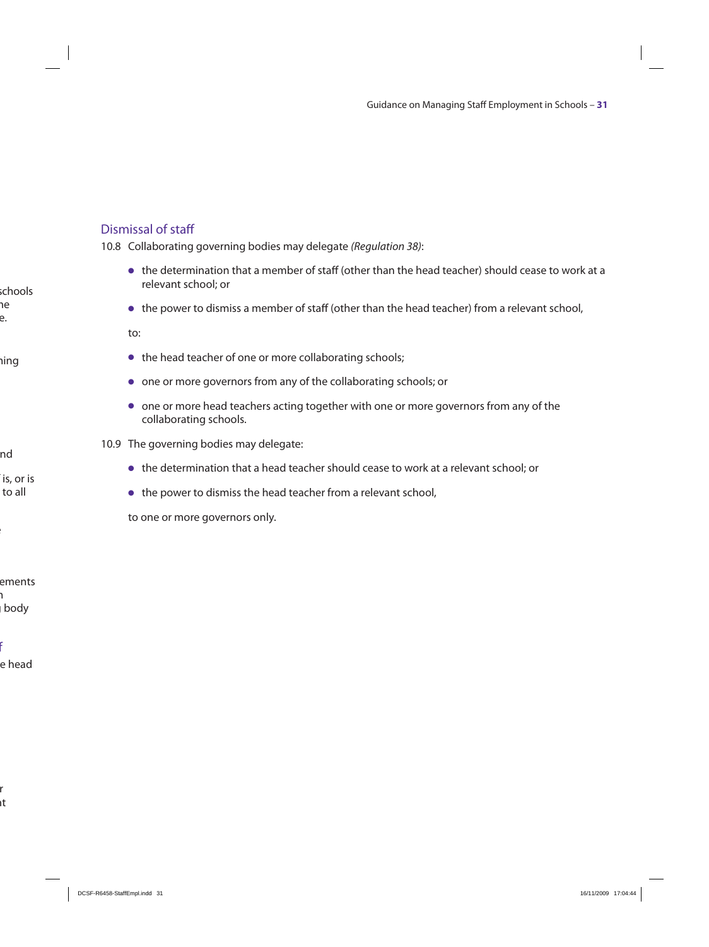#### Dismissal of staff

10.8 Collaborating governing bodies may delegate (Regulation 38):

- O the determination that a member of staff (other than the head teacher) should cease to work at a relevant school; or
- O the power to dismiss a member of staff (other than the head teacher) from a relevant school,

to:

- $\bullet$  the head teacher of one or more collaborating schools;
- O one or more governors from any of the collaborating schools; or
- one or more head teachers acting together with one or more governors from any of the collaborating schools.
- 10.9 The governing bodies may delegate:
	- O the determination that a head teacher should cease to work at a relevant school; or
	- $\bullet$  the power to dismiss the head teacher from a relevant school,

to one or more governors only.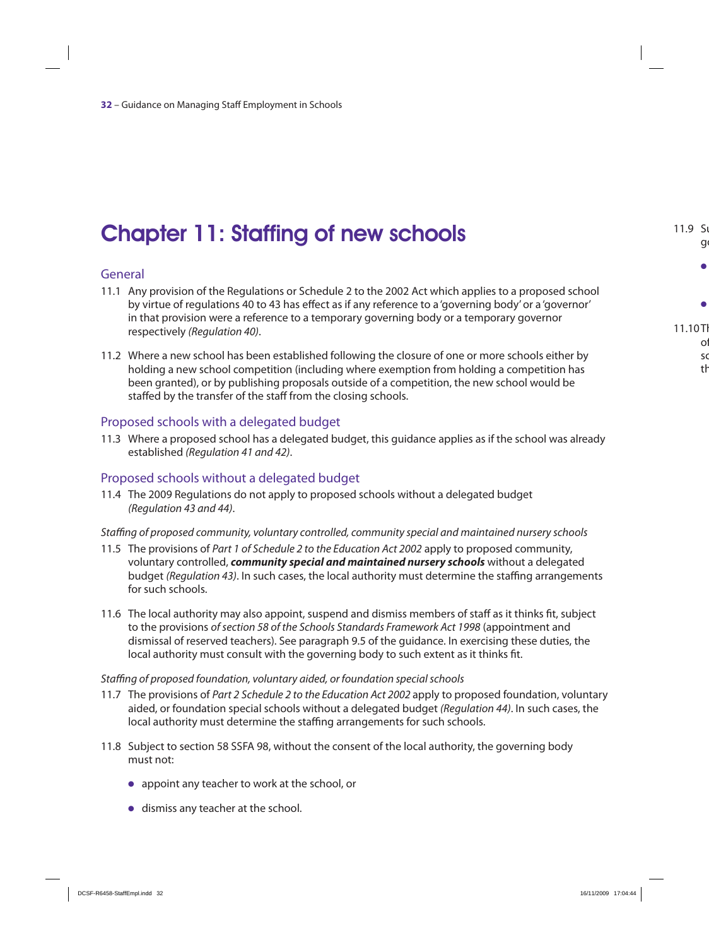# Chapter 11: Staffing of new schools

#### General

- 11.1 Any provision of the Regulations or Schedule 2 to the 2002 Act which applies to a proposed school by virtue of regulations 40 to 43 has effect as if any reference to a 'governing body' or a 'governor' in that provision were a reference to a temporary governing body or a temporary governor respectively (Regulation 40).
- 11.2 Where a new school has been established following the closure of one or more schools either by holding a new school competition (including where exemption from holding a competition has been granted), or by publishing proposals outside of a competition, the new school would be staffed by the transfer of the staff from the closing schools.

#### Proposed schools with a delegated budget

11.3 Where a proposed school has a delegated budget, this guidance applies as if the school was already established (Regulation 41 and 42).

#### Proposed schools without a delegated budget

11.4 The 2009 Regulations do not apply to proposed schools without a delegated budget (Regulation 43 and 44).

#### Staffing of proposed community, voluntary controlled, community special and maintained nursery schools

- 11.5 The provisions of Part 1 of Schedule 2 to the Education Act 2002 apply to proposed community, voluntary controlled, *community special and maintained nursery schools* without a delegated budget (Regulation 43). In such cases, the local authority must determine the staffing arrangements for such schools.
- 11.6 The local authority may also appoint, suspend and dismiss members of staff as it thinks fit, subject to the provisions of section 58 of the Schools Standards Framework Act 1998 (appointment and dismissal of reserved teachers). See paragraph 9.5 of the guidance. In exercising these duties, the local authority must consult with the governing body to such extent as it thinks fit.

#### Staffing of proposed foundation, voluntary aided, or foundation special schools

- 11.7 The provisions of Part 2 Schedule 2 to the Education Act 2002 apply to proposed foundation, voluntary aided, or foundation special schools without a delegated budget (Regulation 44). In such cases, the local authority must determine the staffing arrangements for such schools.
- 11.8 Subject to section 58 SSFA 98, without the consent of the local authority, the governing body must not:
	- O appoint any teacher to work at the school, or
	- $\bullet$  dismiss any teacher at the school.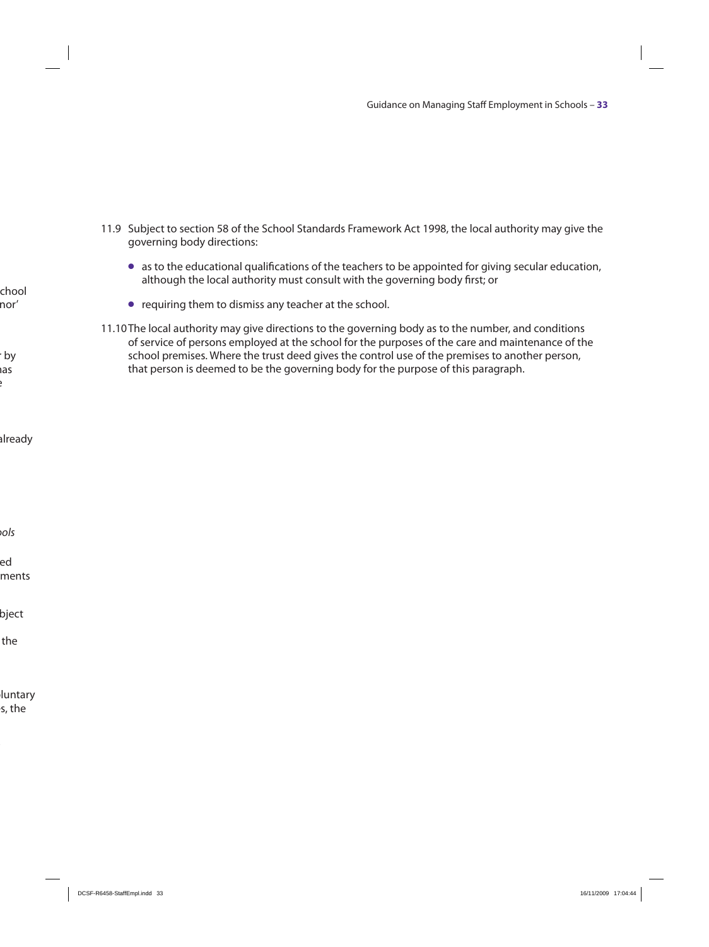- 11.9 Subject to section 58 of the School Standards Framework Act 1998, the local authority may give the governing body directions:
	- O as to the educational qualifications of the teachers to be appointed for giving secular education, although the local authority must consult with the governing body first; or
	- O requiring them to dismiss any teacher at the school.
- 11.10 The local authority may give directions to the governing body as to the number, and conditions of service of persons employed at the school for the purposes of the care and maintenance of the school premises. Where the trust deed gives the control use of the premises to another person, that person is deemed to be the governing body for the purpose of this paragraph.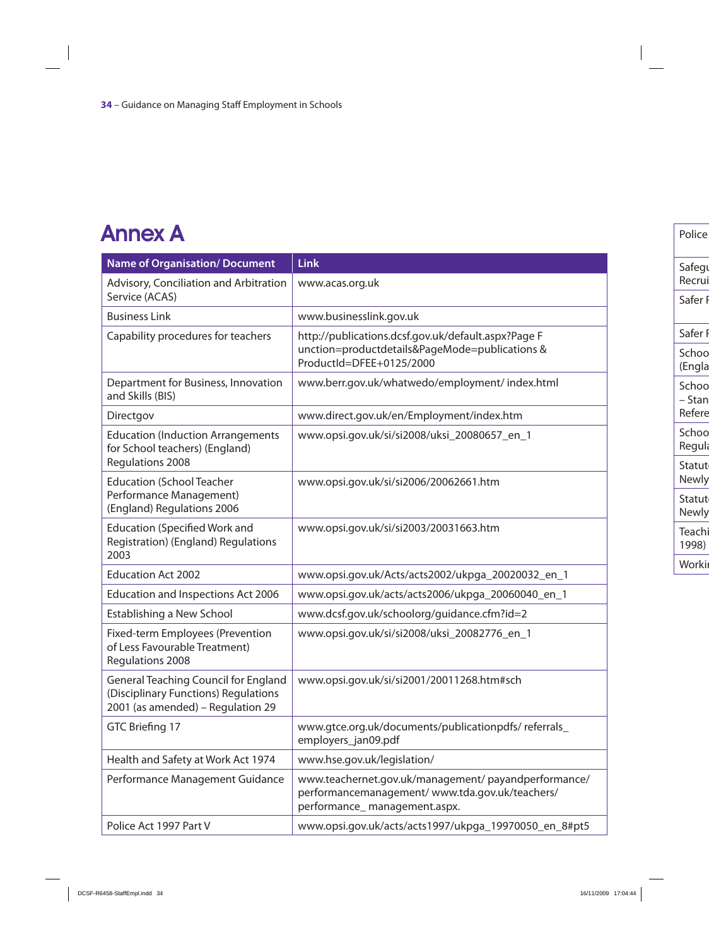# Annex A

| <b>Name of Organisation/ Document</b>                                                                                    | <b>Link</b>                                                                                                                            |
|--------------------------------------------------------------------------------------------------------------------------|----------------------------------------------------------------------------------------------------------------------------------------|
| Advisory, Conciliation and Arbitration<br>Service (ACAS)                                                                 | www.acas.org.uk                                                                                                                        |
| <b>Business Link</b>                                                                                                     | www.businesslink.gov.uk                                                                                                                |
| Capability procedures for teachers                                                                                       | http://publications.dcsf.gov.uk/default.aspx?Page F<br>unction=productdetails&PageMode=publications &<br>ProductId=DFEE+0125/2000      |
| Department for Business, Innovation<br>and Skills (BIS)                                                                  | www.berr.gov.uk/whatwedo/employment/ index.html                                                                                        |
| Directgov                                                                                                                | www.direct.gov.uk/en/Employment/index.htm                                                                                              |
| <b>Education (Induction Arrangements</b><br>for School teachers) (England)<br><b>Regulations 2008</b>                    | www.opsi.gov.uk/si/si2008/uksi_20080657_en_1                                                                                           |
| <b>Education (School Teacher</b><br>Performance Management)<br>(England) Regulations 2006                                | www.opsi.gov.uk/si/si2006/20062661.htm                                                                                                 |
| <b>Education (Specified Work and</b><br><b>Registration) (England) Regulations</b><br>2003                               | www.opsi.gov.uk/si/si2003/20031663.htm                                                                                                 |
| <b>Education Act 2002</b>                                                                                                | www.opsi.gov.uk/Acts/acts2002/ukpga_20020032_en_1                                                                                      |
| <b>Education and Inspections Act 2006</b>                                                                                | www.opsi.gov.uk/acts/acts2006/ukpga_20060040_en_1                                                                                      |
| Establishing a New School                                                                                                | www.dcsf.gov.uk/schoolorg/guidance.cfm?id=2                                                                                            |
| <b>Fixed-term Employees (Prevention</b><br>of Less Favourable Treatment)<br><b>Regulations 2008</b>                      | www.opsi.gov.uk/si/si2008/uksi_20082776_en_1                                                                                           |
| <b>General Teaching Council for England</b><br>(Disciplinary Functions) Regulations<br>2001 (as amended) – Regulation 29 | www.opsi.gov.uk/si/si2001/20011268.htm#sch                                                                                             |
| GTC Briefing 17                                                                                                          | www.gtce.org.uk/documents/publicationpdfs/ referrals<br>employers_jan09.pdf                                                            |
| Health and Safety at Work Act 1974                                                                                       | www.hse.gov.uk/legislation/                                                                                                            |
| Performance Management Guidance                                                                                          | www.teachernet.gov.uk/management/ payandperformance/<br>performancemanagement/www.tda.gov.uk/teachers/<br>performance_management.aspx. |
| Police Act 1997 Part V                                                                                                   | www.opsi.gov.uk/acts/acts1997/ukpga_19970050_en_8#pt5                                                                                  |